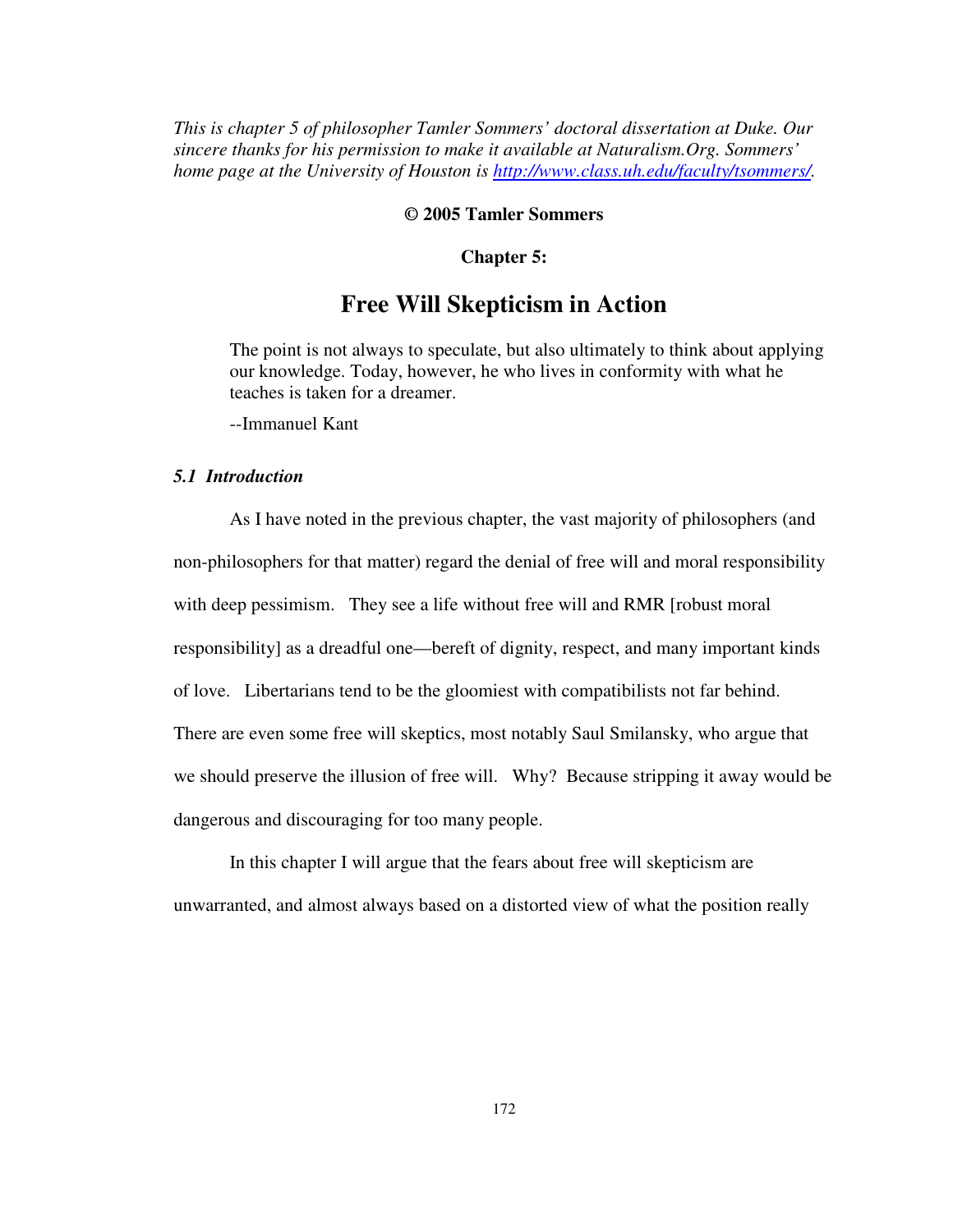*This is chapter 5 of philosopher Tamler Sommers' doctoral dissertation at Duke. Our sincere thanks for his permission to make it available at Naturalism.Org. Sommers' home page at the University of Houston is http://www.class.uh.edu/faculty/tsommers/.* 

# **© 2005 Tamler Sommers**

# **Chapter 5:**

# **Free Will Skepticism in Action**

The point is not always to speculate, but also ultimately to think about applying our knowledge. Today, however, he who lives in conformity with what he teaches is taken for a dreamer.

--Immanuel Kant

# *5.1 Introduction*

As I have noted in the previous chapter, the vast majority of philosophers (and non-philosophers for that matter) regard the denial of free will and moral responsibility with deep pessimism. They see a life without free will and RMR [robust moral responsibility] as a dreadful one—bereft of dignity, respect, and many important kinds of love. Libertarians tend to be the gloomiest with compatibilists not far behind. There are even some free will skeptics, most notably Saul Smilansky, who argue that we should preserve the illusion of free will. Why? Because stripping it away would be dangerous and discouraging for too many people.

In this chapter I will argue that the fears about free will skepticism are unwarranted, and almost always based on a distorted view of what the position really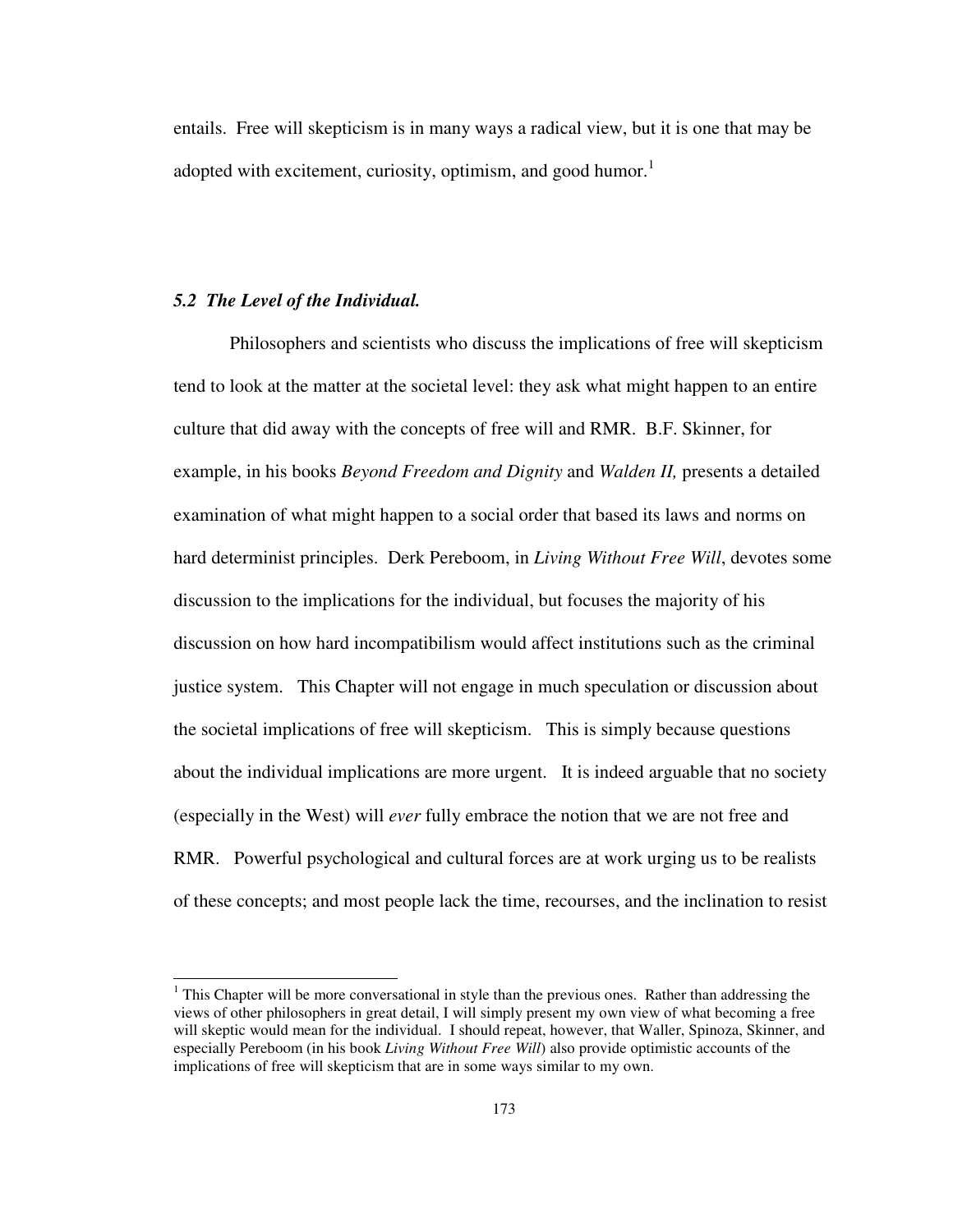entails. Free will skepticism is in many ways a radical view, but it is one that may be adopted with excitement, curiosity, optimism, and good humor.<sup>1</sup>

### *5.2 The Level of the Individual.*

Philosophers and scientists who discuss the implications of free will skepticism tend to look at the matter at the societal level: they ask what might happen to an entire culture that did away with the concepts of free will and RMR. B.F. Skinner, for example, in his books *Beyond Freedom and Dignity* and *Walden II,* presents a detailed examination of what might happen to a social order that based its laws and norms on hard determinist principles. Derk Pereboom, in *Living Without Free Will*, devotes some discussion to the implications for the individual, but focuses the majority of his discussion on how hard incompatibilism would affect institutions such as the criminal justice system. This Chapter will not engage in much speculation or discussion about the societal implications of free will skepticism. This is simply because questions about the individual implications are more urgent. It is indeed arguable that no society (especially in the West) will *ever* fully embrace the notion that we are not free and RMR. Powerful psychological and cultural forces are at work urging us to be realists of these concepts; and most people lack the time, recourses, and the inclination to resist

<sup>&</sup>lt;sup>1</sup> This Chapter will be more conversational in style than the previous ones. Rather than addressing the views of other philosophers in great detail, I will simply present my own view of what becoming a free will skeptic would mean for the individual. I should repeat, however, that Waller, Spinoza, Skinner, and especially Pereboom (in his book *Living Without Free Will*) also provide optimistic accounts of the implications of free will skepticism that are in some ways similar to my own.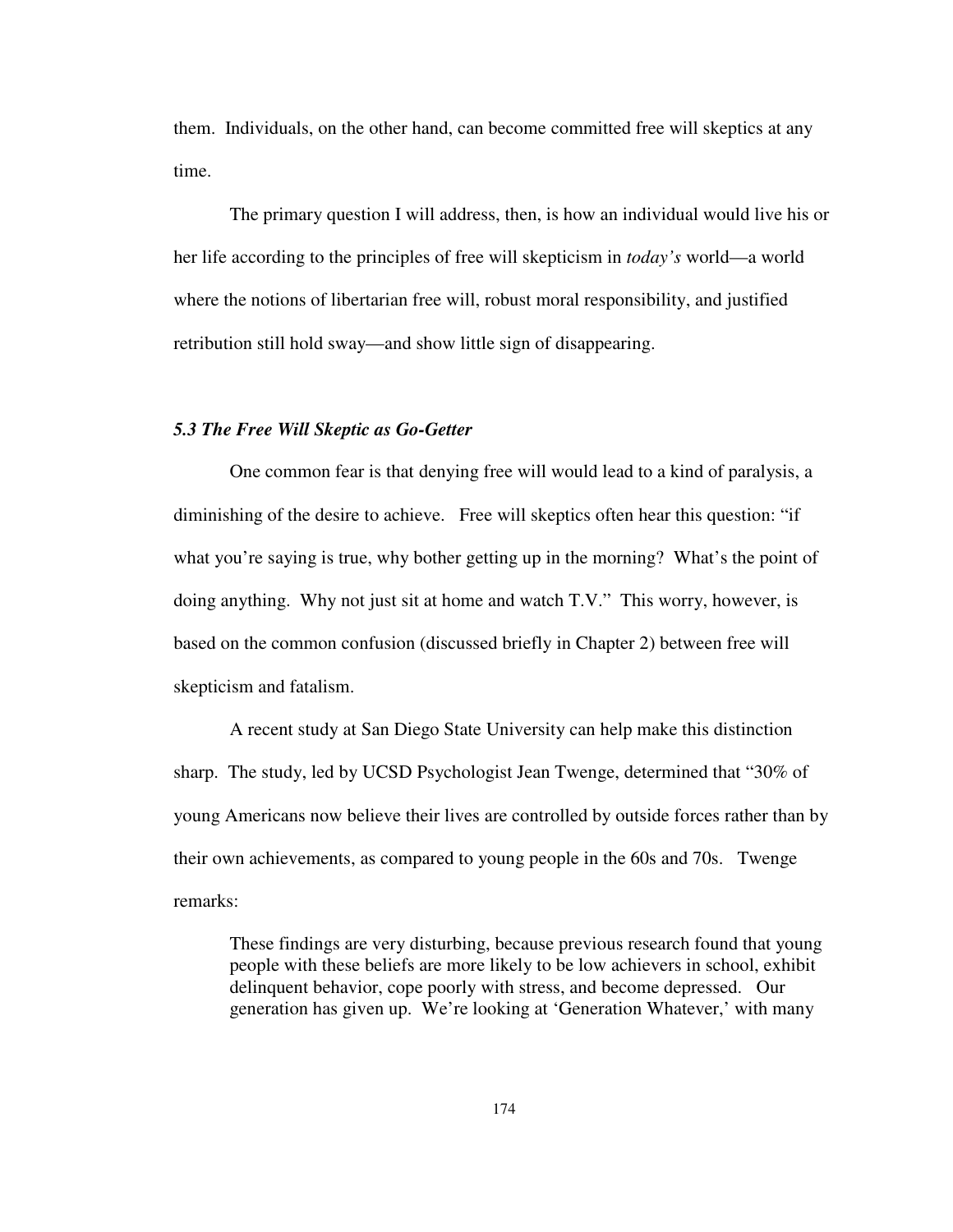them. Individuals, on the other hand, can become committed free will skeptics at any time.

The primary question I will address, then, is how an individual would live his or her life according to the principles of free will skepticism in *today's* world—a world where the notions of libertarian free will, robust moral responsibility, and justified retribution still hold sway—and show little sign of disappearing.

#### *5.3 The Free Will Skeptic as Go-Getter*

One common fear is that denying free will would lead to a kind of paralysis, a diminishing of the desire to achieve. Free will skeptics often hear this question: "if what you're saying is true, why bother getting up in the morning? What's the point of doing anything. Why not just sit at home and watch T.V." This worry, however, is based on the common confusion (discussed briefly in Chapter 2) between free will skepticism and fatalism.

A recent study at San Diego State University can help make this distinction sharp. The study, led by UCSD Psychologist Jean Twenge, determined that "30% of young Americans now believe their lives are controlled by outside forces rather than by their own achievements, as compared to young people in the 60s and 70s. Twenge remarks:

These findings are very disturbing, because previous research found that young people with these beliefs are more likely to be low achievers in school, exhibit delinquent behavior, cope poorly with stress, and become depressed. Our generation has given up. We're looking at 'Generation Whatever,' with many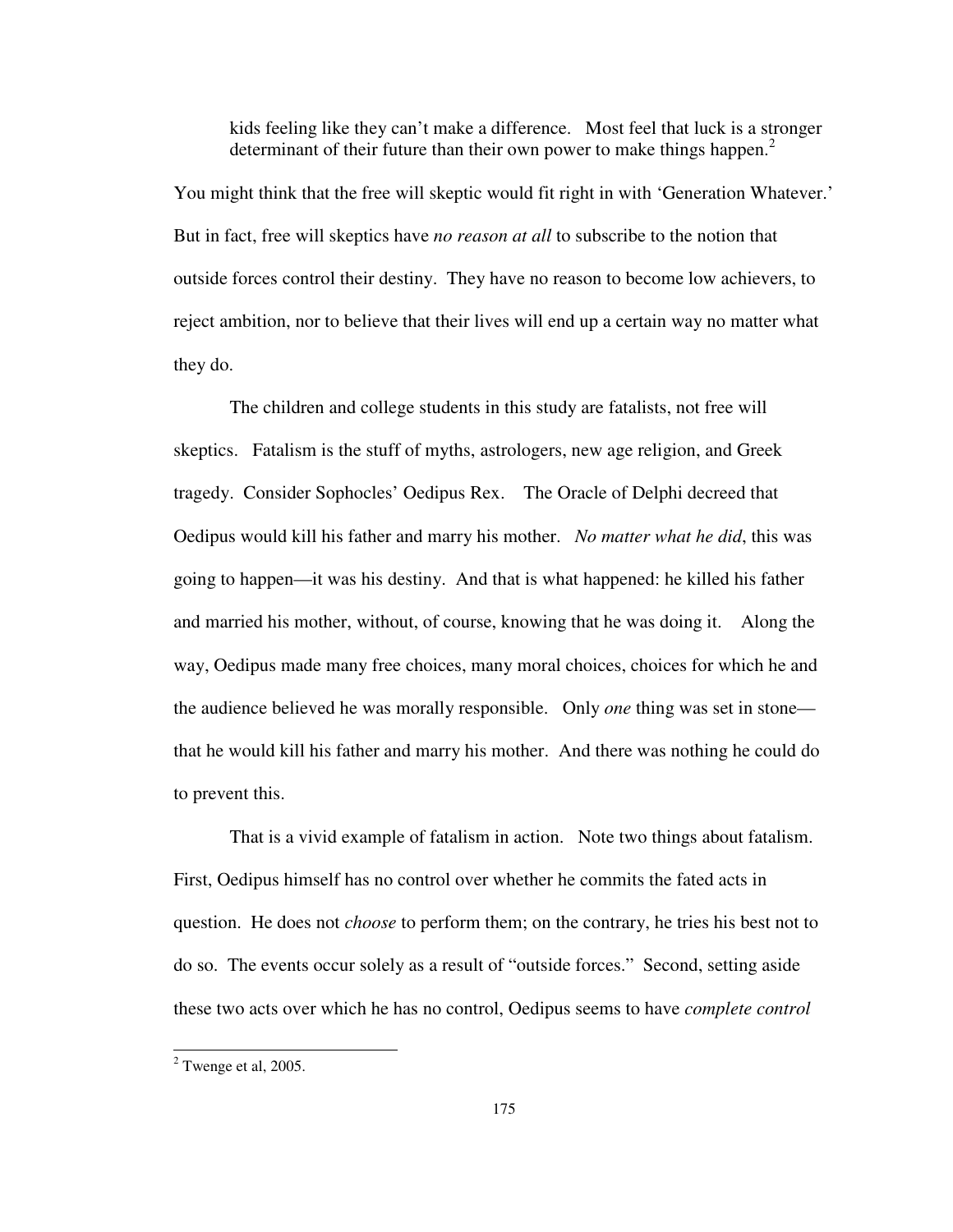kids feeling like they can't make a difference. Most feel that luck is a stronger determinant of their future than their own power to make things happen.<sup>2</sup>

You might think that the free will skeptic would fit right in with 'Generation Whatever.' But in fact, free will skeptics have *no reason at all* to subscribe to the notion that outside forces control their destiny. They have no reason to become low achievers, to reject ambition, nor to believe that their lives will end up a certain way no matter what they do.

 The children and college students in this study are fatalists, not free will skeptics. Fatalism is the stuff of myths, astrologers, new age religion, and Greek tragedy. Consider Sophocles' Oedipus Rex. The Oracle of Delphi decreed that Oedipus would kill his father and marry his mother. *No matter what he did*, this was going to happen—it was his destiny. And that is what happened: he killed his father and married his mother, without, of course, knowing that he was doing it. Along the way, Oedipus made many free choices, many moral choices, choices for which he and the audience believed he was morally responsible. Only *one* thing was set in stone that he would kill his father and marry his mother. And there was nothing he could do to prevent this.

 That is a vivid example of fatalism in action. Note two things about fatalism. First, Oedipus himself has no control over whether he commits the fated acts in question. He does not *choose* to perform them; on the contrary, he tries his best not to do so. The events occur solely as a result of "outside forces." Second, setting aside these two acts over which he has no control, Oedipus seems to have *complete control* 

 $2$  Twenge et al, 2005.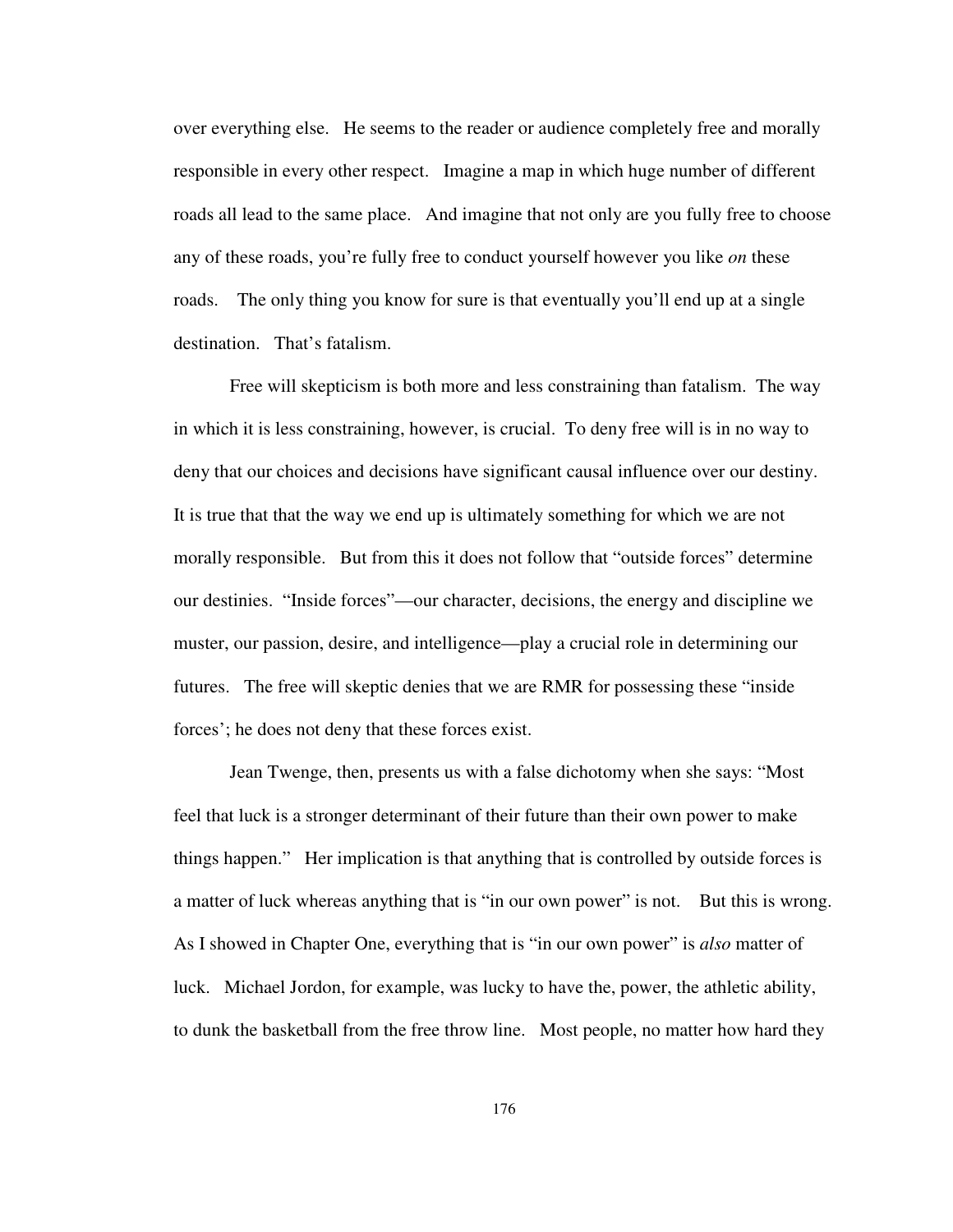over everything else. He seems to the reader or audience completely free and morally responsible in every other respect. Imagine a map in which huge number of different roads all lead to the same place. And imagine that not only are you fully free to choose any of these roads, you're fully free to conduct yourself however you like *on* these roads. The only thing you know for sure is that eventually you'll end up at a single destination. That's fatalism.

 Free will skepticism is both more and less constraining than fatalism. The way in which it is less constraining, however, is crucial. To deny free will is in no way to deny that our choices and decisions have significant causal influence over our destiny. It is true that that the way we end up is ultimately something for which we are not morally responsible. But from this it does not follow that "outside forces" determine our destinies. "Inside forces"—our character, decisions, the energy and discipline we muster, our passion, desire, and intelligence—play a crucial role in determining our futures. The free will skeptic denies that we are RMR for possessing these "inside forces'; he does not deny that these forces exist.

 Jean Twenge, then, presents us with a false dichotomy when she says: "Most feel that luck is a stronger determinant of their future than their own power to make things happen." Her implication is that anything that is controlled by outside forces is a matter of luck whereas anything that is "in our own power" is not. But this is wrong. As I showed in Chapter One, everything that is "in our own power" is *also* matter of luck. Michael Jordon, for example, was lucky to have the, power, the athletic ability, to dunk the basketball from the free throw line. Most people, no matter how hard they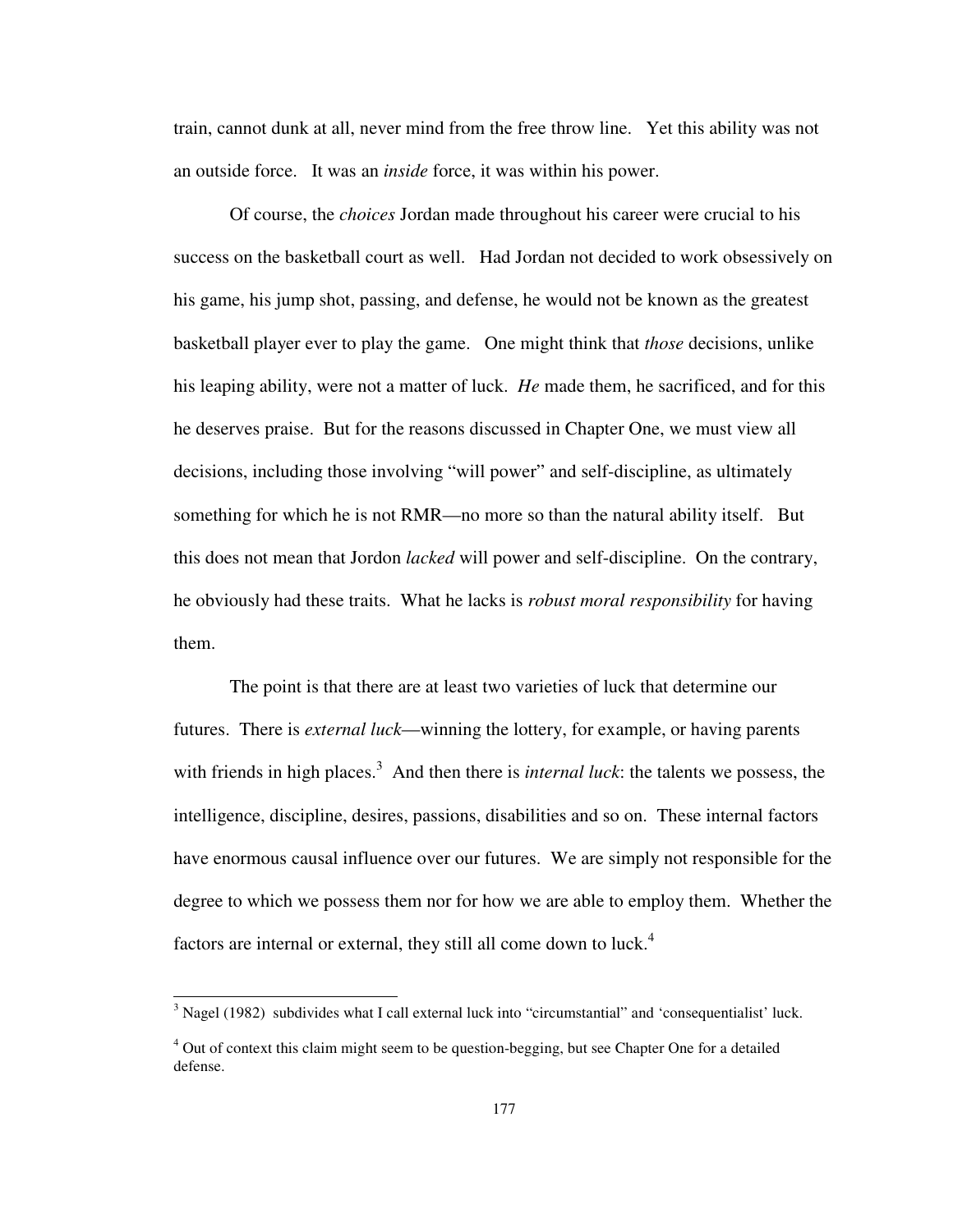train, cannot dunk at all, never mind from the free throw line. Yet this ability was not an outside force. It was an *inside* force, it was within his power.

Of course, the *choices* Jordan made throughout his career were crucial to his success on the basketball court as well. Had Jordan not decided to work obsessively on his game, his jump shot, passing, and defense, he would not be known as the greatest basketball player ever to play the game. One might think that *those* decisions, unlike his leaping ability, were not a matter of luck. *He* made them, he sacrificed, and for this he deserves praise. But for the reasons discussed in Chapter One, we must view all decisions, including those involving "will power" and self-discipline, as ultimately something for which he is not RMR—no more so than the natural ability itself. But this does not mean that Jordon *lacked* will power and self-discipline. On the contrary, he obviously had these traits. What he lacks is *robust moral responsibility* for having them.

The point is that there are at least two varieties of luck that determine our futures. There is *external luck*—winning the lottery, for example, or having parents with friends in high places.<sup>3</sup> And then there is *internal luck*: the talents we possess, the intelligence, discipline, desires, passions, disabilities and so on. These internal factors have enormous causal influence over our futures. We are simply not responsible for the degree to which we possess them nor for how we are able to employ them. Whether the factors are internal or external, they still all come down to luck.<sup>4</sup>

 $3$  Nagel (1982) subdivides what I call external luck into "circumstantial" and 'consequentialist' luck.

<sup>&</sup>lt;sup>4</sup> Out of context this claim might seem to be question-begging, but see Chapter One for a detailed defense.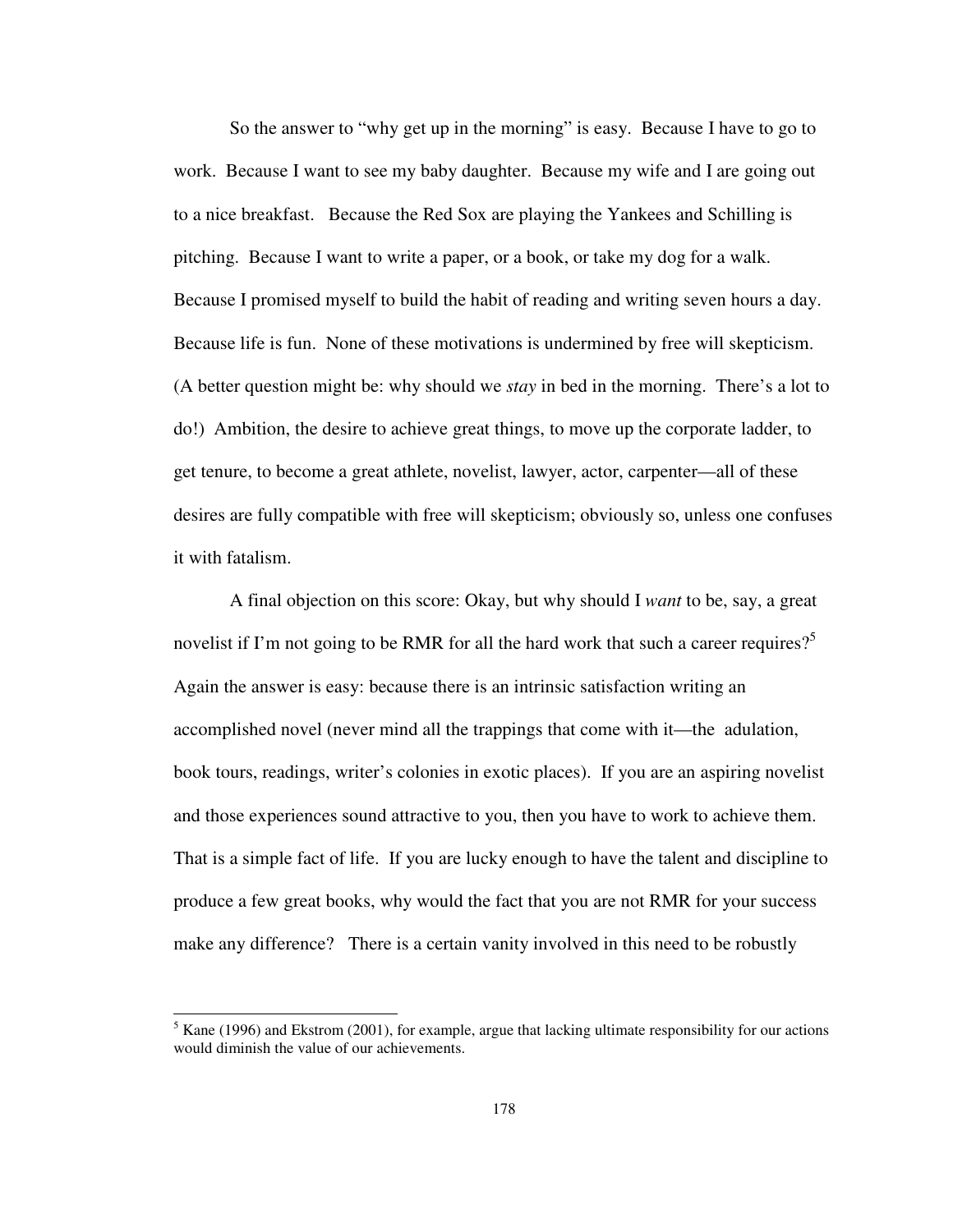So the answer to "why get up in the morning" is easy. Because I have to go to work. Because I want to see my baby daughter. Because my wife and I are going out to a nice breakfast. Because the Red Sox are playing the Yankees and Schilling is pitching. Because I want to write a paper, or a book, or take my dog for a walk. Because I promised myself to build the habit of reading and writing seven hours a day. Because life is fun. None of these motivations is undermined by free will skepticism. (A better question might be: why should we *stay* in bed in the morning. There's a lot to do!) Ambition, the desire to achieve great things, to move up the corporate ladder, to get tenure, to become a great athlete, novelist, lawyer, actor, carpenter—all of these desires are fully compatible with free will skepticism; obviously so, unless one confuses it with fatalism.

 A final objection on this score: Okay, but why should I *want* to be, say, a great novelist if I'm not going to be RMR for all the hard work that such a career requires?<sup>5</sup> Again the answer is easy: because there is an intrinsic satisfaction writing an accomplished novel (never mind all the trappings that come with it—the adulation, book tours, readings, writer's colonies in exotic places). If you are an aspiring novelist and those experiences sound attractive to you, then you have to work to achieve them. That is a simple fact of life. If you are lucky enough to have the talent and discipline to produce a few great books, why would the fact that you are not RMR for your success make any difference? There is a certain vanity involved in this need to be robustly

<sup>&</sup>lt;sup>5</sup> Kane (1996) and Ekstrom (2001), for example, argue that lacking ultimate responsibility for our actions would diminish the value of our achievements.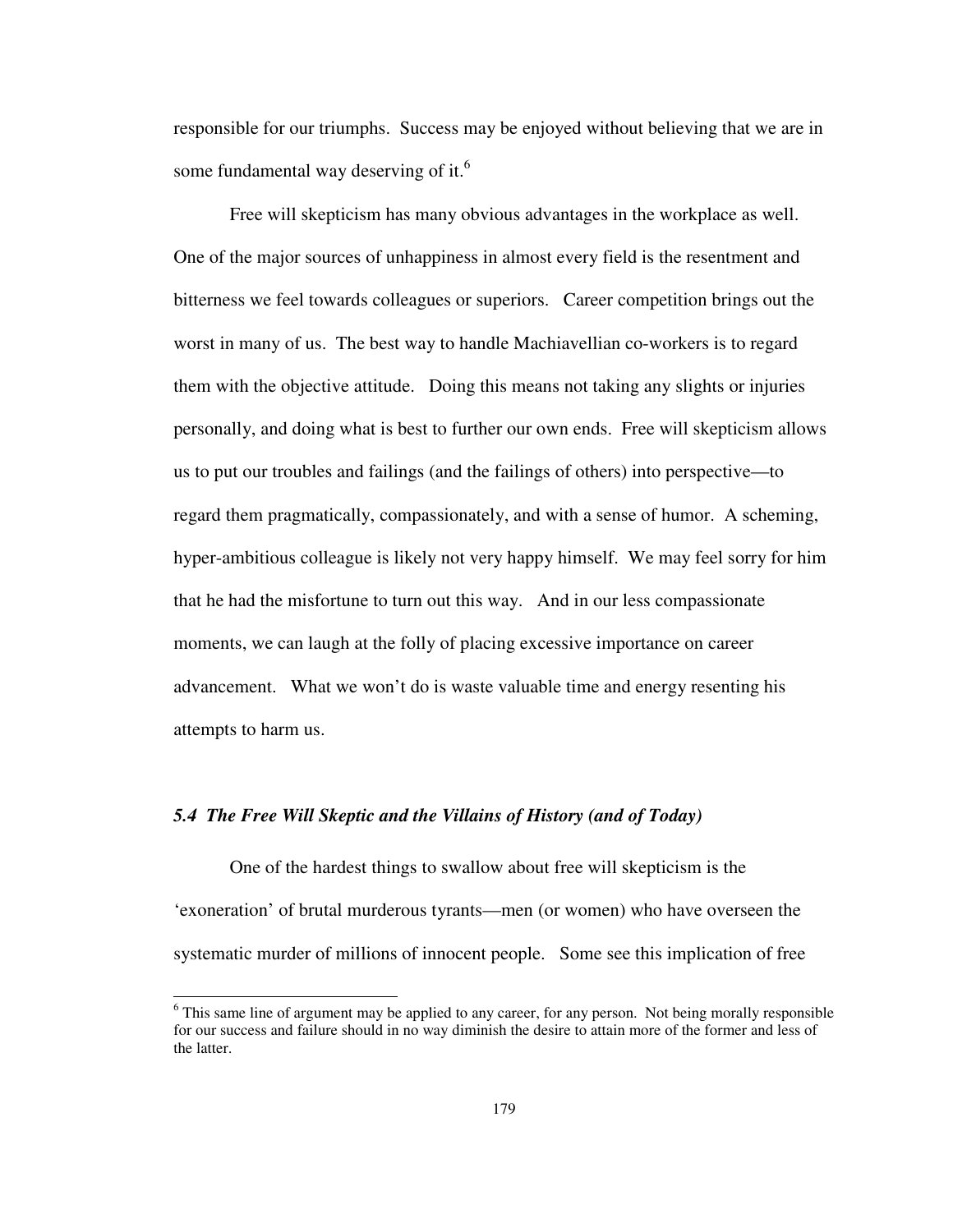responsible for our triumphs. Success may be enjoyed without believing that we are in some fundamental way deserving of it.<sup>6</sup>

 Free will skepticism has many obvious advantages in the workplace as well. One of the major sources of unhappiness in almost every field is the resentment and bitterness we feel towards colleagues or superiors. Career competition brings out the worst in many of us. The best way to handle Machiavellian co-workers is to regard them with the objective attitude. Doing this means not taking any slights or injuries personally, and doing what is best to further our own ends. Free will skepticism allows us to put our troubles and failings (and the failings of others) into perspective—to regard them pragmatically, compassionately, and with a sense of humor. A scheming, hyper-ambitious colleague is likely not very happy himself. We may feel sorry for him that he had the misfortune to turn out this way. And in our less compassionate moments, we can laugh at the folly of placing excessive importance on career advancement. What we won't do is waste valuable time and energy resenting his attempts to harm us.

# *5.4 The Free Will Skeptic and the Villains of History (and of Today)*

-

One of the hardest things to swallow about free will skepticism is the 'exoneration' of brutal murderous tyrants—men (or women) who have overseen the systematic murder of millions of innocent people. Some see this implication of free

<sup>&</sup>lt;sup>6</sup> This same line of argument may be applied to any career, for any person. Not being morally responsible for our success and failure should in no way diminish the desire to attain more of the former and less of the latter.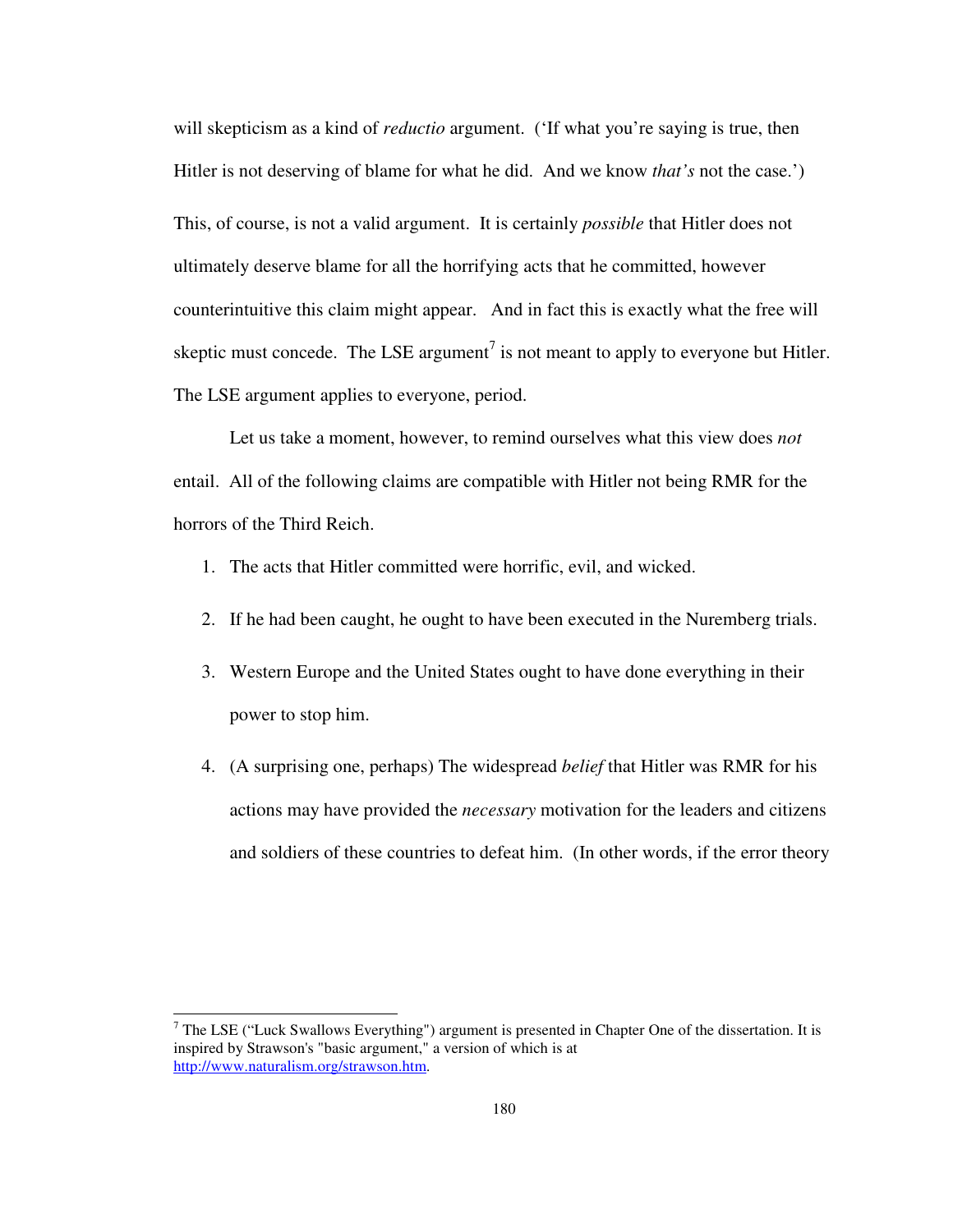will skepticism as a kind of *reductio* argument. ('If what you're saying is true, then Hitler is not deserving of blame for what he did. And we know *that's* not the case.') This, of course, is not a valid argument. It is certainly *possible* that Hitler does not ultimately deserve blame for all the horrifying acts that he committed, however counterintuitive this claim might appear. And in fact this is exactly what the free will skeptic must concede. The LSE argument<sup>7</sup> is not meant to apply to everyone but Hitler. The LSE argument applies to everyone, period.

 Let us take a moment, however, to remind ourselves what this view does *not* entail. All of the following claims are compatible with Hitler not being RMR for the horrors of the Third Reich.

- 1. The acts that Hitler committed were horrific, evil, and wicked.
- 2. If he had been caught, he ought to have been executed in the Nuremberg trials.
- 3. Western Europe and the United States ought to have done everything in their power to stop him.
- 4. (A surprising one, perhaps) The widespread *belief* that Hitler was RMR for his actions may have provided the *necessary* motivation for the leaders and citizens and soldiers of these countries to defeat him. (In other words, if the error theory

 $<sup>7</sup>$  The LSE ("Luck Swallows Everything") argument is presented in Chapter One of the dissertation. It is</sup> inspired by Strawson's "basic argument," a version of which is at http://www.naturalism.org/strawson.htm.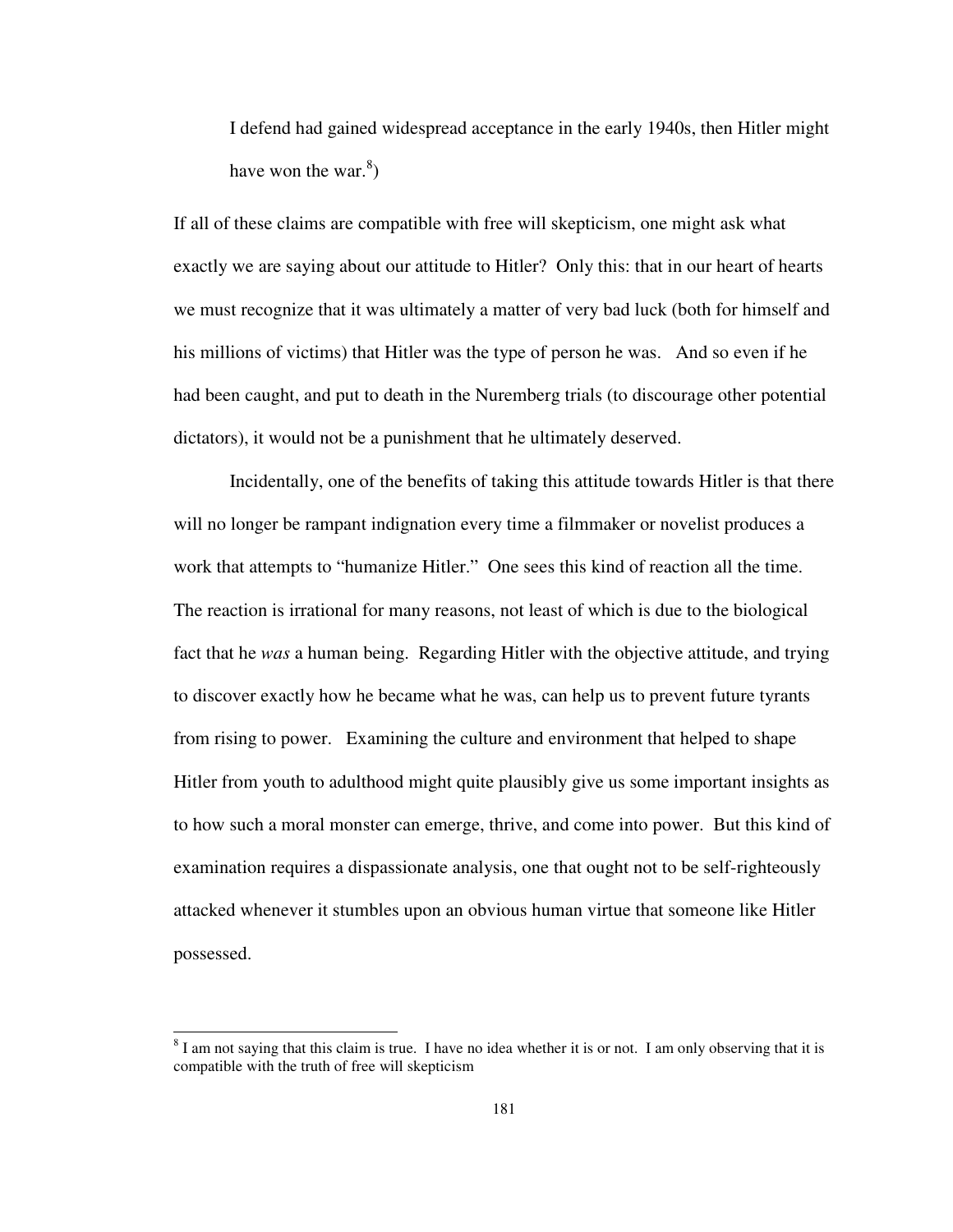I defend had gained widespread acceptance in the early 1940s, then Hitler might have won the war. $^{8}$ )

If all of these claims are compatible with free will skepticism, one might ask what exactly we are saying about our attitude to Hitler? Only this: that in our heart of hearts we must recognize that it was ultimately a matter of very bad luck (both for himself and his millions of victims) that Hitler was the type of person he was. And so even if he had been caught, and put to death in the Nuremberg trials (to discourage other potential dictators), it would not be a punishment that he ultimately deserved.

Incidentally, one of the benefits of taking this attitude towards Hitler is that there will no longer be rampant indignation every time a filmmaker or novelist produces a work that attempts to "humanize Hitler." One sees this kind of reaction all the time. The reaction is irrational for many reasons, not least of which is due to the biological fact that he *was* a human being. Regarding Hitler with the objective attitude, and trying to discover exactly how he became what he was, can help us to prevent future tyrants from rising to power. Examining the culture and environment that helped to shape Hitler from youth to adulthood might quite plausibly give us some important insights as to how such a moral monster can emerge, thrive, and come into power. But this kind of examination requires a dispassionate analysis, one that ought not to be self-righteously attacked whenever it stumbles upon an obvious human virtue that someone like Hitler possessed.

j

 $8$  I am not saying that this claim is true. I have no idea whether it is or not. I am only observing that it is compatible with the truth of free will skepticism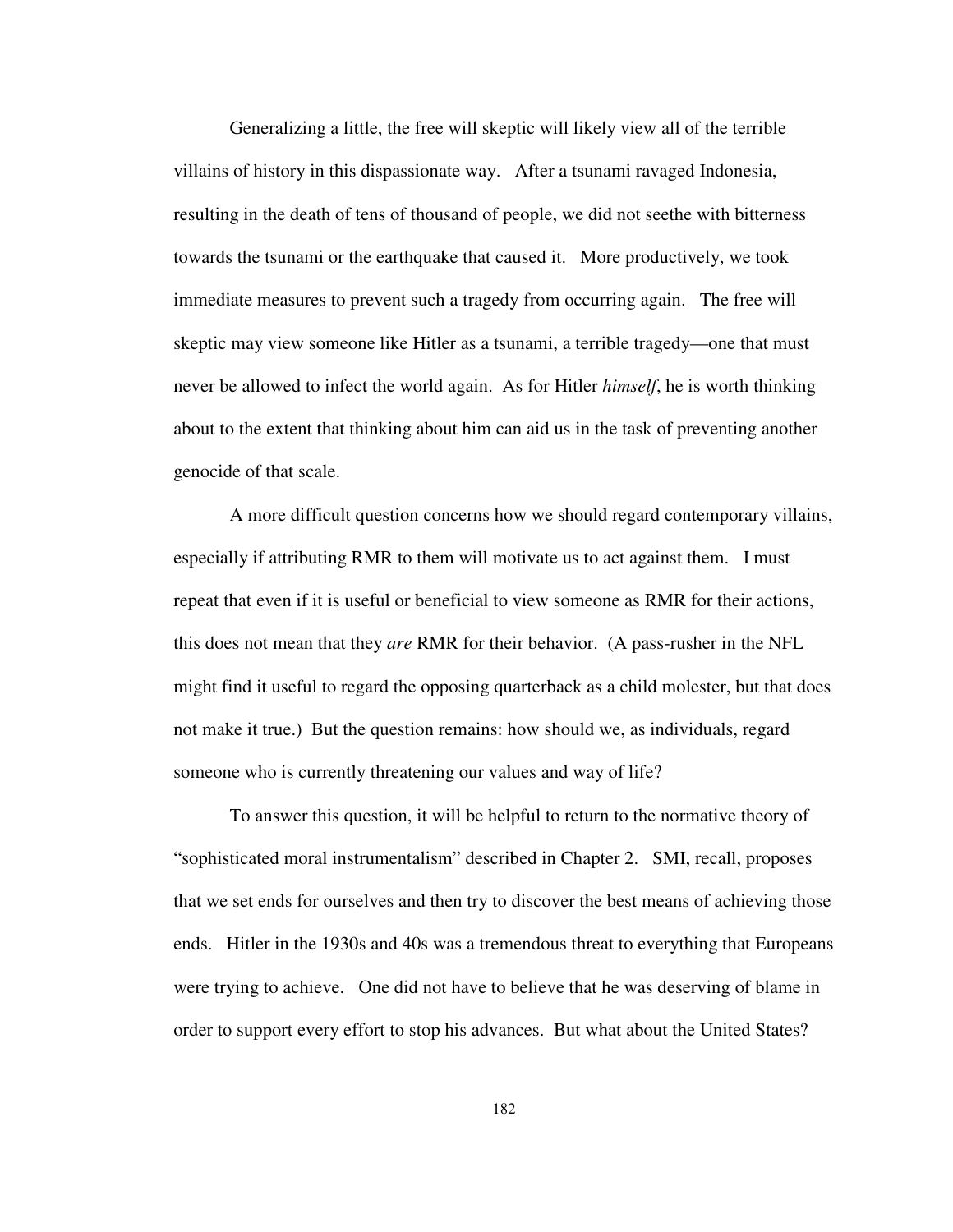Generalizing a little, the free will skeptic will likely view all of the terrible villains of history in this dispassionate way. After a tsunami ravaged Indonesia, resulting in the death of tens of thousand of people, we did not seethe with bitterness towards the tsunami or the earthquake that caused it. More productively, we took immediate measures to prevent such a tragedy from occurring again. The free will skeptic may view someone like Hitler as a tsunami, a terrible tragedy—one that must never be allowed to infect the world again. As for Hitler *himself*, he is worth thinking about to the extent that thinking about him can aid us in the task of preventing another genocide of that scale.

A more difficult question concerns how we should regard contemporary villains, especially if attributing RMR to them will motivate us to act against them. I must repeat that even if it is useful or beneficial to view someone as RMR for their actions, this does not mean that they *are* RMR for their behavior. (A pass-rusher in the NFL might find it useful to regard the opposing quarterback as a child molester, but that does not make it true.) But the question remains: how should we, as individuals, regard someone who is currently threatening our values and way of life?

To answer this question, it will be helpful to return to the normative theory of "sophisticated moral instrumentalism" described in Chapter 2. SMI, recall, proposes that we set ends for ourselves and then try to discover the best means of achieving those ends. Hitler in the 1930s and 40s was a tremendous threat to everything that Europeans were trying to achieve. One did not have to believe that he was deserving of blame in order to support every effort to stop his advances. But what about the United States?

182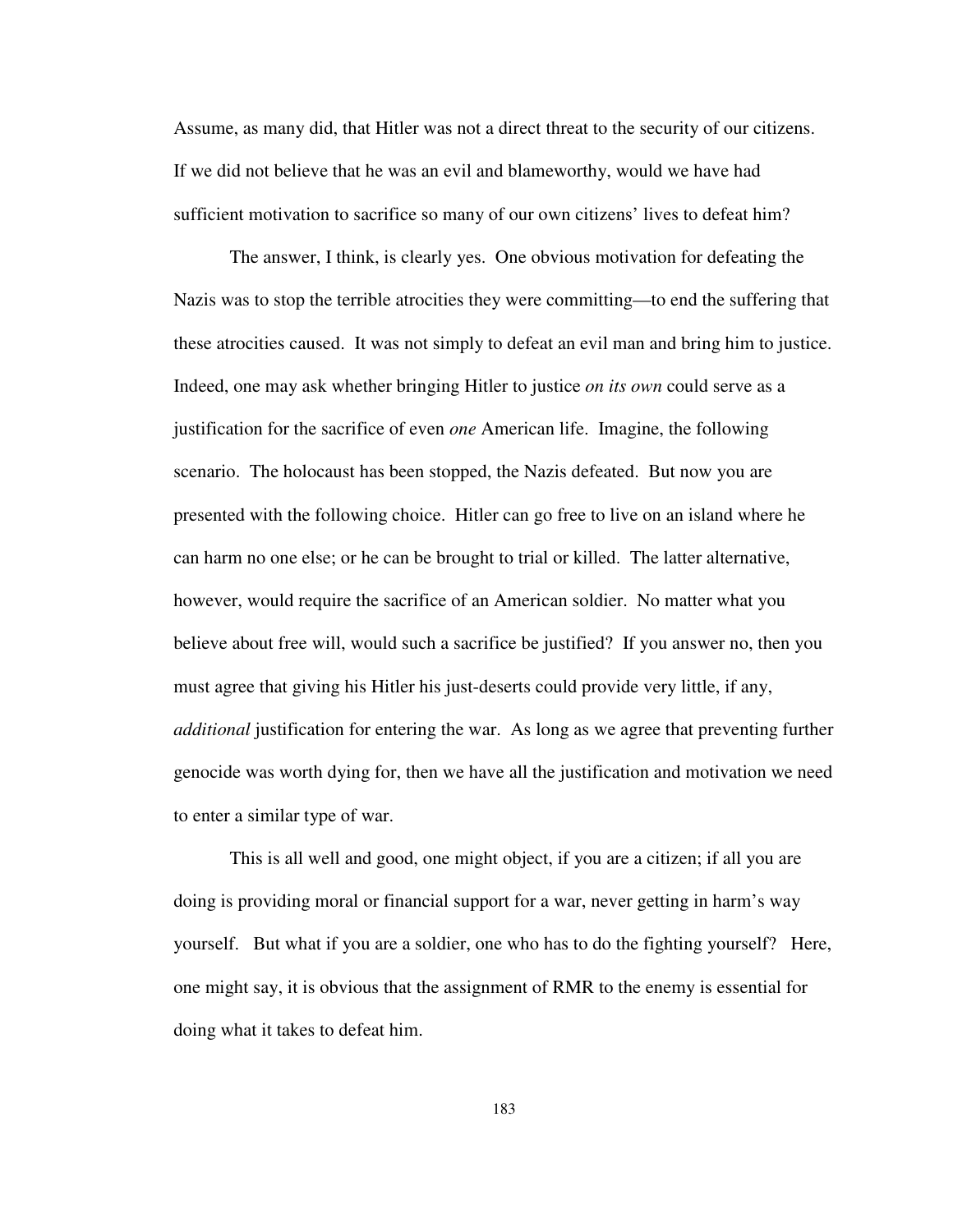Assume, as many did, that Hitler was not a direct threat to the security of our citizens. If we did not believe that he was an evil and blameworthy, would we have had sufficient motivation to sacrifice so many of our own citizens' lives to defeat him?

The answer, I think, is clearly yes. One obvious motivation for defeating the Nazis was to stop the terrible atrocities they were committing—to end the suffering that these atrocities caused. It was not simply to defeat an evil man and bring him to justice. Indeed, one may ask whether bringing Hitler to justice *on its own* could serve as a justification for the sacrifice of even *one* American life. Imagine, the following scenario. The holocaust has been stopped, the Nazis defeated. But now you are presented with the following choice. Hitler can go free to live on an island where he can harm no one else; or he can be brought to trial or killed. The latter alternative, however, would require the sacrifice of an American soldier. No matter what you believe about free will, would such a sacrifice be justified? If you answer no, then you must agree that giving his Hitler his just-deserts could provide very little, if any, *additional* justification for entering the war. As long as we agree that preventing further genocide was worth dying for, then we have all the justification and motivation we need to enter a similar type of war.

This is all well and good, one might object, if you are a citizen; if all you are doing is providing moral or financial support for a war, never getting in harm's way yourself. But what if you are a soldier, one who has to do the fighting yourself? Here, one might say, it is obvious that the assignment of RMR to the enemy is essential for doing what it takes to defeat him.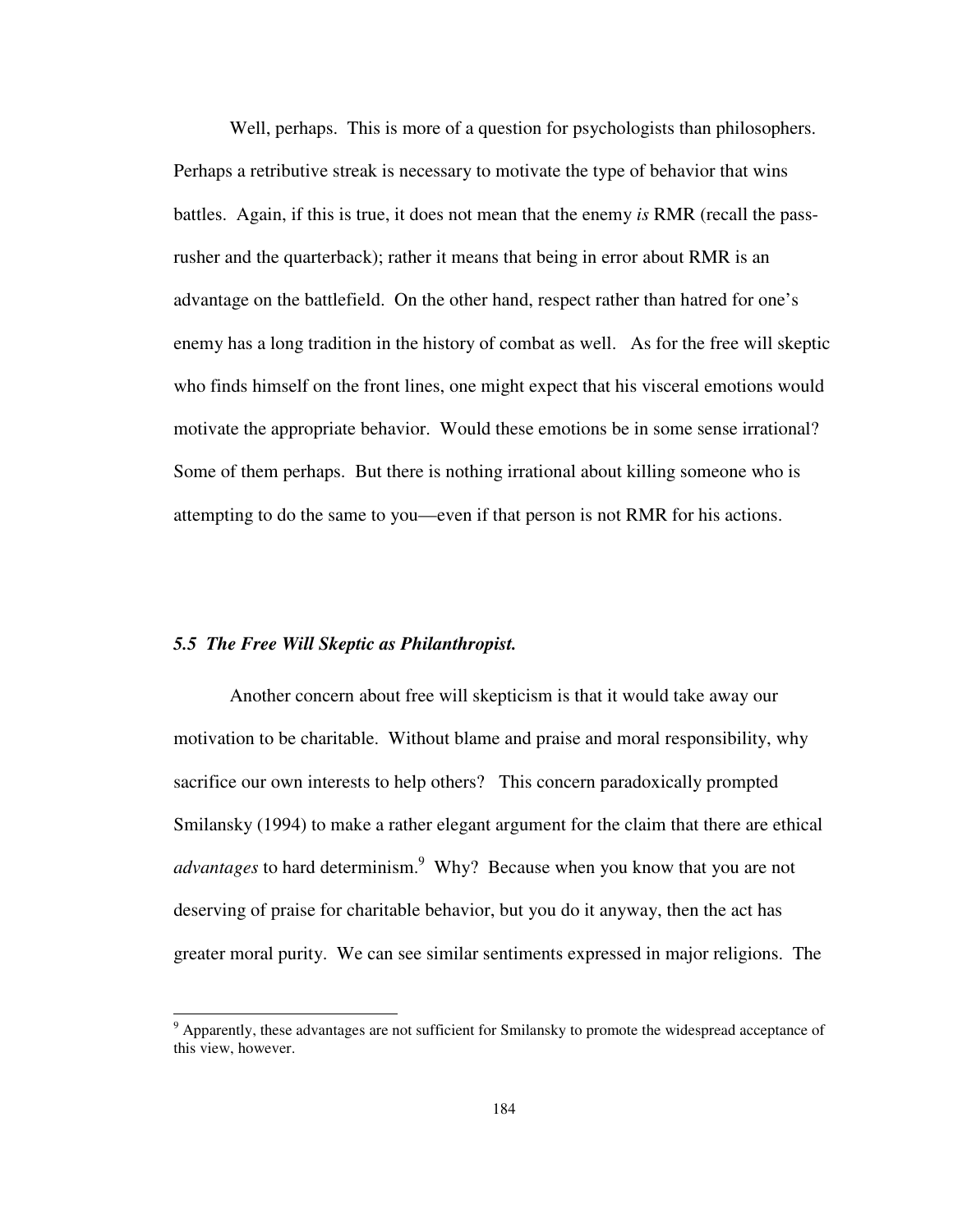Well, perhaps. This is more of a question for psychologists than philosophers. Perhaps a retributive streak is necessary to motivate the type of behavior that wins battles. Again, if this is true, it does not mean that the enemy *is* RMR (recall the passrusher and the quarterback); rather it means that being in error about RMR is an advantage on the battlefield. On the other hand, respect rather than hatred for one's enemy has a long tradition in the history of combat as well. As for the free will skeptic who finds himself on the front lines, one might expect that his visceral emotions would motivate the appropriate behavior. Would these emotions be in some sense irrational? Some of them perhaps. But there is nothing irrational about killing someone who is attempting to do the same to you—even if that person is not RMR for his actions.

#### *5.5 The Free Will Skeptic as Philanthropist.*

-

Another concern about free will skepticism is that it would take away our motivation to be charitable. Without blame and praise and moral responsibility, why sacrifice our own interests to help others? This concern paradoxically prompted Smilansky (1994) to make a rather elegant argument for the claim that there are ethical *advantages* to hard determinism.<sup>9</sup> Why? Because when you know that you are not deserving of praise for charitable behavior, but you do it anyway, then the act has greater moral purity. We can see similar sentiments expressed in major religions. The

<sup>&</sup>lt;sup>9</sup> Apparently, these advantages are not sufficient for Smilansky to promote the widespread acceptance of this view, however.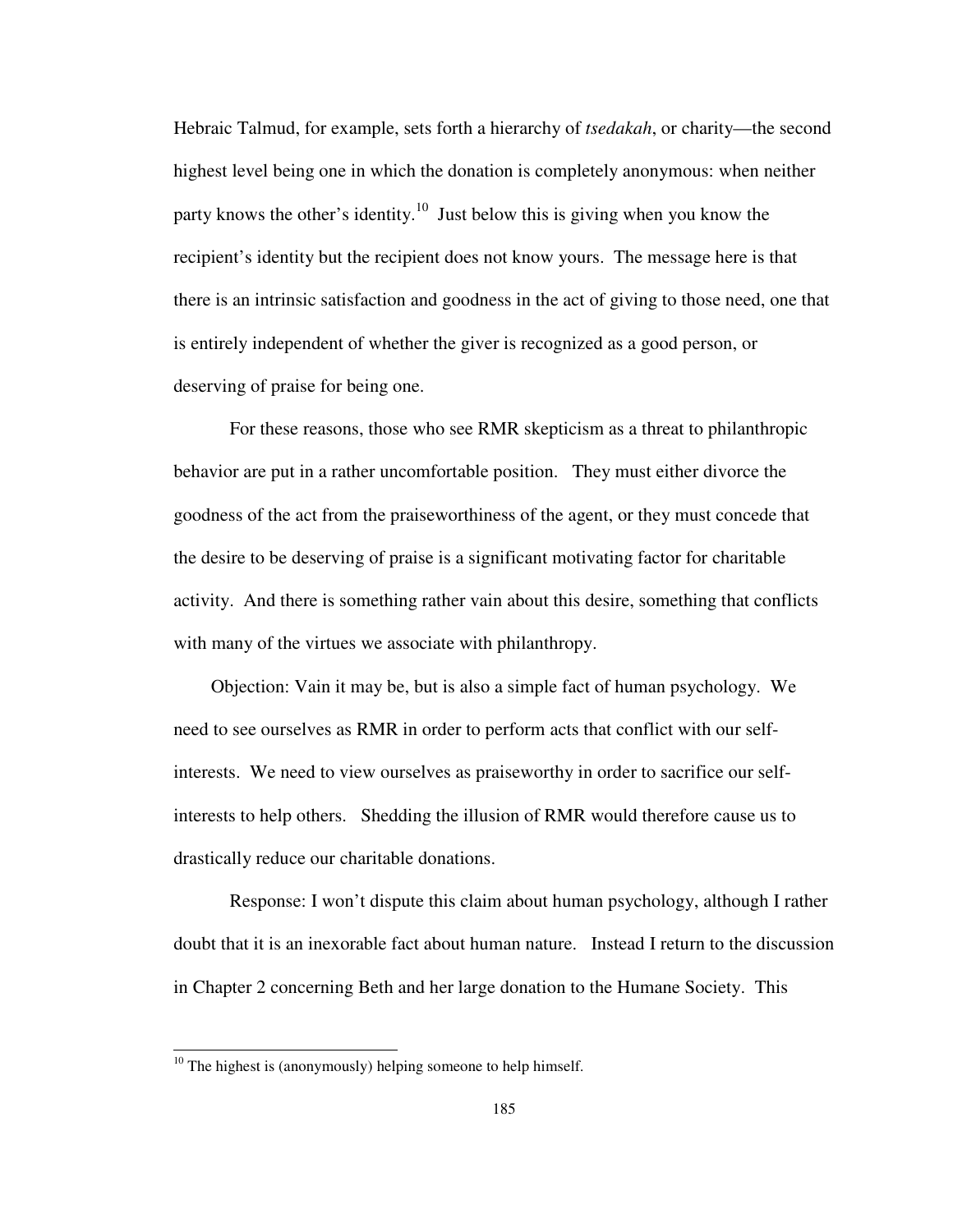Hebraic Talmud, for example, sets forth a hierarchy of *tsedakah*, or charity—the second highest level being one in which the donation is completely anonymous: when neither party knows the other's identity.<sup>10</sup> Just below this is giving when you know the recipient's identity but the recipient does not know yours. The message here is that there is an intrinsic satisfaction and goodness in the act of giving to those need, one that is entirely independent of whether the giver is recognized as a good person, or deserving of praise for being one.

For these reasons, those who see RMR skepticism as a threat to philanthropic behavior are put in a rather uncomfortable position. They must either divorce the goodness of the act from the praiseworthiness of the agent, or they must concede that the desire to be deserving of praise is a significant motivating factor for charitable activity. And there is something rather vain about this desire, something that conflicts with many of the virtues we associate with philanthropy.

 Objection: Vain it may be, but is also a simple fact of human psychology. We need to see ourselves as RMR in order to perform acts that conflict with our selfinterests. We need to view ourselves as praiseworthy in order to sacrifice our selfinterests to help others. Shedding the illusion of RMR would therefore cause us to drastically reduce our charitable donations.

 Response: I won't dispute this claim about human psychology, although I rather doubt that it is an inexorable fact about human nature. Instead I return to the discussion in Chapter 2 concerning Beth and her large donation to the Humane Society. This

 $10$  The highest is (anonymously) helping someone to help himself.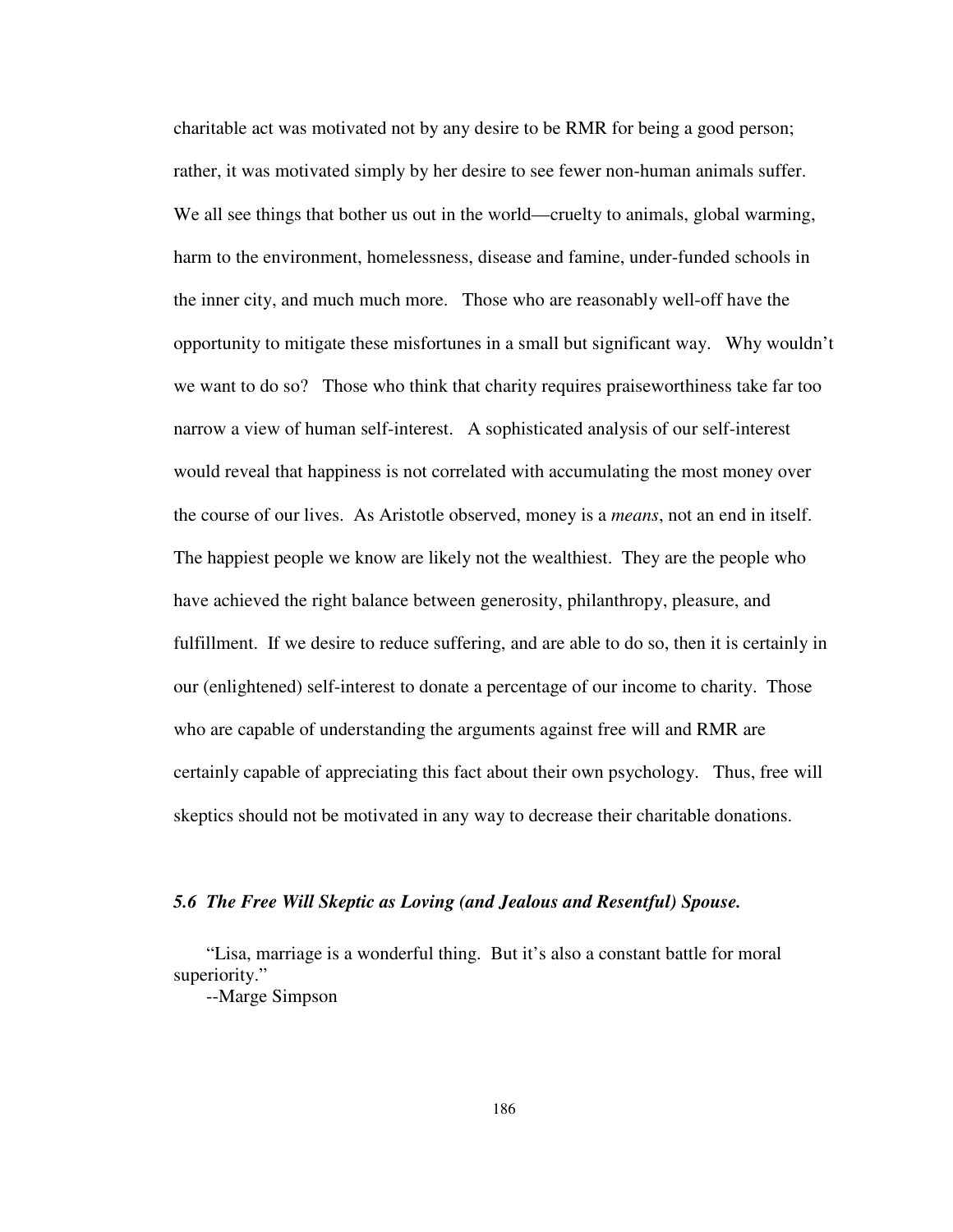charitable act was motivated not by any desire to be RMR for being a good person; rather, it was motivated simply by her desire to see fewer non-human animals suffer. We all see things that bother us out in the world—cruelty to animals, global warming, harm to the environment, homelessness, disease and famine, under-funded schools in the inner city, and much much more. Those who are reasonably well-off have the opportunity to mitigate these misfortunes in a small but significant way. Why wouldn't we want to do so? Those who think that charity requires praiseworthiness take far too narrow a view of human self-interest. A sophisticated analysis of our self-interest would reveal that happiness is not correlated with accumulating the most money over the course of our lives. As Aristotle observed, money is a *means*, not an end in itself. The happiest people we know are likely not the wealthiest. They are the people who have achieved the right balance between generosity, philanthropy, pleasure, and fulfillment. If we desire to reduce suffering, and are able to do so, then it is certainly in our (enlightened) self-interest to donate a percentage of our income to charity. Those who are capable of understanding the arguments against free will and RMR are certainly capable of appreciating this fact about their own psychology. Thus, free will skeptics should not be motivated in any way to decrease their charitable donations.

# *5.6 The Free Will Skeptic as Loving (and Jealous and Resentful) Spouse.*

"Lisa, marriage is a wonderful thing. But it's also a constant battle for moral superiority."

--Marge Simpson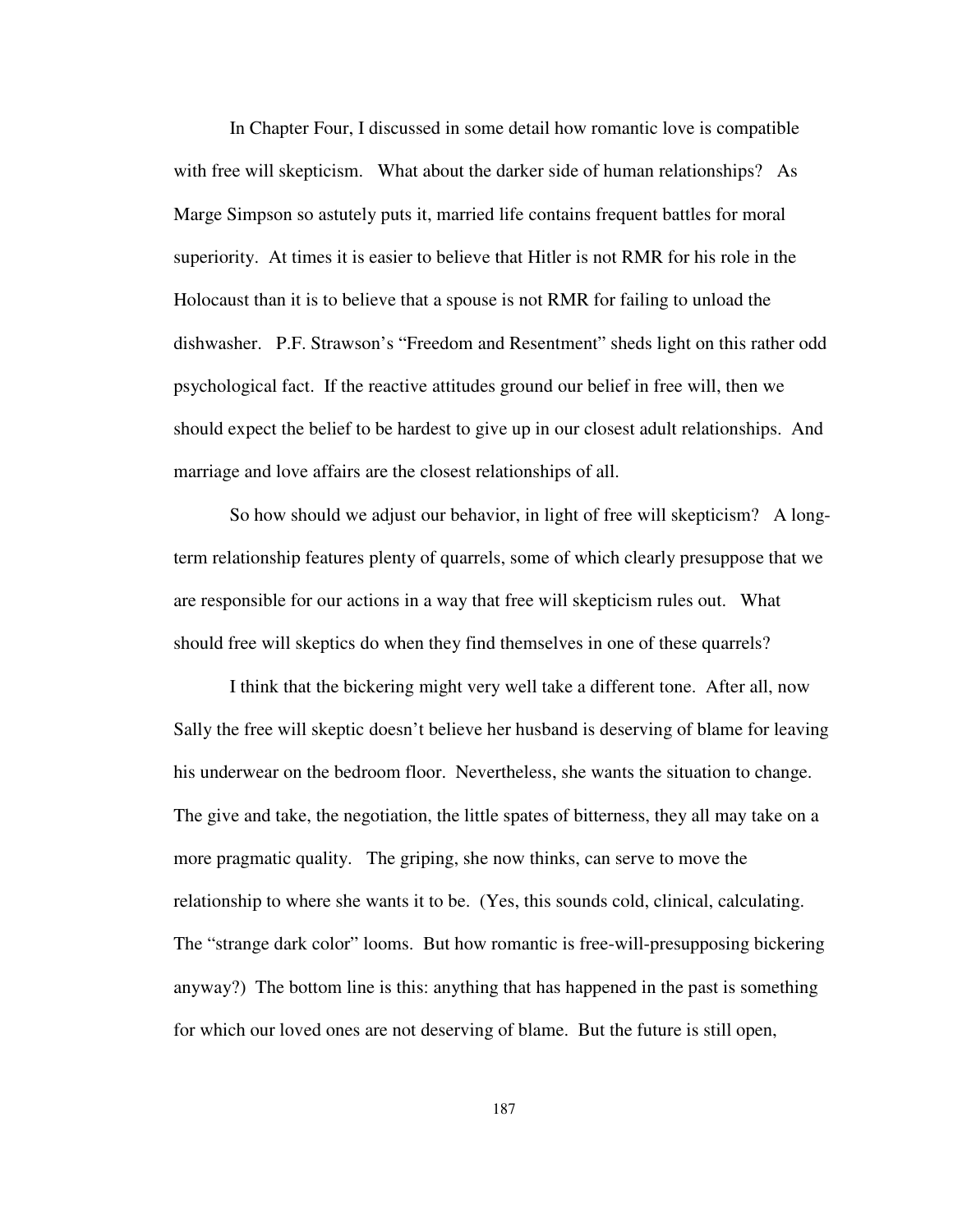In Chapter Four, I discussed in some detail how romantic love is compatible with free will skepticism. What about the darker side of human relationships? As Marge Simpson so astutely puts it, married life contains frequent battles for moral superiority. At times it is easier to believe that Hitler is not RMR for his role in the Holocaust than it is to believe that a spouse is not RMR for failing to unload the dishwasher. P.F. Strawson's "Freedom and Resentment" sheds light on this rather odd psychological fact. If the reactive attitudes ground our belief in free will, then we should expect the belief to be hardest to give up in our closest adult relationships. And marriage and love affairs are the closest relationships of all.

So how should we adjust our behavior, in light of free will skepticism? A longterm relationship features plenty of quarrels, some of which clearly presuppose that we are responsible for our actions in a way that free will skepticism rules out. What should free will skeptics do when they find themselves in one of these quarrels?

I think that the bickering might very well take a different tone. After all, now Sally the free will skeptic doesn't believe her husband is deserving of blame for leaving his underwear on the bedroom floor. Nevertheless, she wants the situation to change. The give and take, the negotiation, the little spates of bitterness, they all may take on a more pragmatic quality. The griping, she now thinks, can serve to move the relationship to where she wants it to be. (Yes, this sounds cold, clinical, calculating. The "strange dark color" looms. But how romantic is free-will-presupposing bickering anyway?) The bottom line is this: anything that has happened in the past is something for which our loved ones are not deserving of blame. But the future is still open,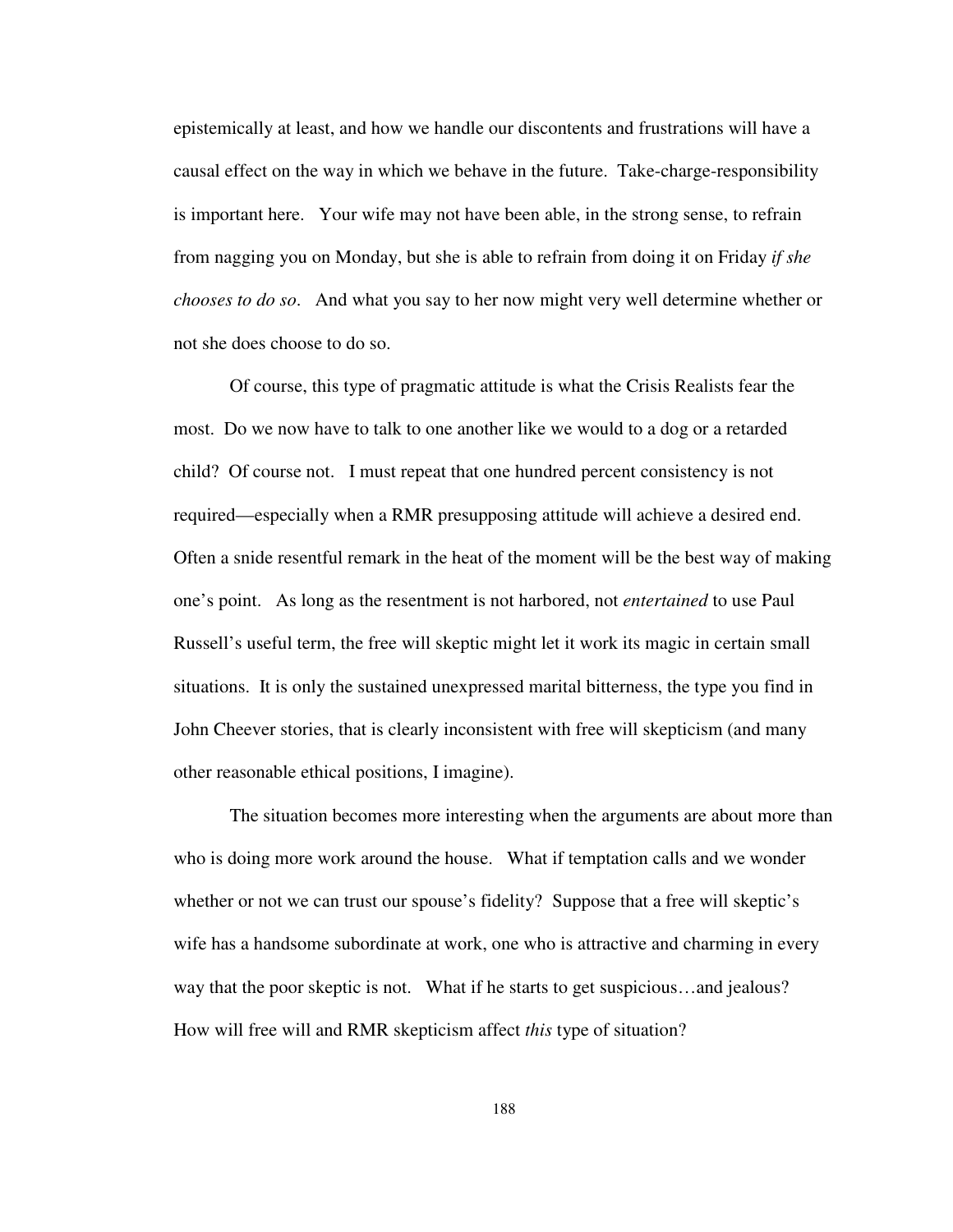epistemically at least, and how we handle our discontents and frustrations will have a causal effect on the way in which we behave in the future. Take-charge-responsibility is important here. Your wife may not have been able, in the strong sense, to refrain from nagging you on Monday, but she is able to refrain from doing it on Friday *if she chooses to do so*. And what you say to her now might very well determine whether or not she does choose to do so.

 Of course, this type of pragmatic attitude is what the Crisis Realists fear the most. Do we now have to talk to one another like we would to a dog or a retarded child? Of course not. I must repeat that one hundred percent consistency is not required—especially when a RMR presupposing attitude will achieve a desired end. Often a snide resentful remark in the heat of the moment will be the best way of making one's point. As long as the resentment is not harbored, not *entertained* to use Paul Russell's useful term, the free will skeptic might let it work its magic in certain small situations. It is only the sustained unexpressed marital bitterness, the type you find in John Cheever stories, that is clearly inconsistent with free will skepticism (and many other reasonable ethical positions, I imagine).

 The situation becomes more interesting when the arguments are about more than who is doing more work around the house. What if temptation calls and we wonder whether or not we can trust our spouse's fidelity? Suppose that a free will skeptic's wife has a handsome subordinate at work, one who is attractive and charming in every way that the poor skeptic is not. What if he starts to get suspicious…and jealous? How will free will and RMR skepticism affect *this* type of situation?

188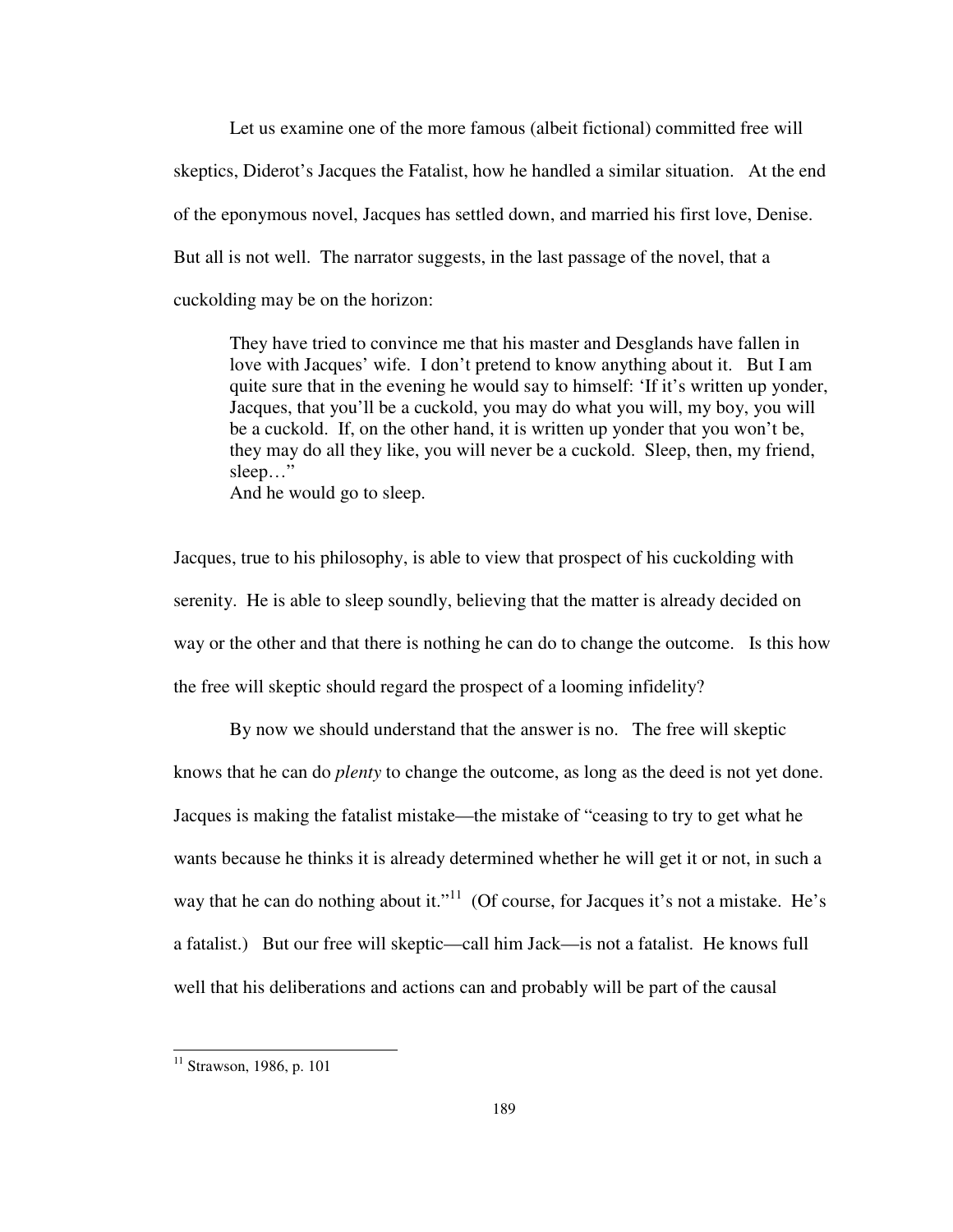Let us examine one of the more famous (albeit fictional) committed free will skeptics, Diderot's Jacques the Fatalist, how he handled a similar situation. At the end of the eponymous novel, Jacques has settled down, and married his first love, Denise. But all is not well. The narrator suggests, in the last passage of the novel, that a cuckolding may be on the horizon:

They have tried to convince me that his master and Desglands have fallen in love with Jacques' wife. I don't pretend to know anything about it. But I am quite sure that in the evening he would say to himself: 'If it's written up yonder, Jacques, that you'll be a cuckold, you may do what you will, my boy, you will be a cuckold. If, on the other hand, it is written up yonder that you won't be, they may do all they like, you will never be a cuckold. Sleep, then, my friend, sleep…"

And he would go to sleep.

Jacques, true to his philosophy, is able to view that prospect of his cuckolding with serenity. He is able to sleep soundly, believing that the matter is already decided on way or the other and that there is nothing he can do to change the outcome. Is this how the free will skeptic should regard the prospect of a looming infidelity?

 By now we should understand that the answer is no. The free will skeptic knows that he can do *plenty* to change the outcome, as long as the deed is not yet done. Jacques is making the fatalist mistake—the mistake of "ceasing to try to get what he wants because he thinks it is already determined whether he will get it or not, in such a way that he can do nothing about it."<sup>11</sup> (Of course, for Jacques it's not a mistake. He's a fatalist.) But our free will skeptic—call him Jack—is not a fatalist. He knows full well that his deliberations and actions can and probably will be part of the causal

<sup>&</sup>lt;sup>11</sup> Strawson, 1986, p. 101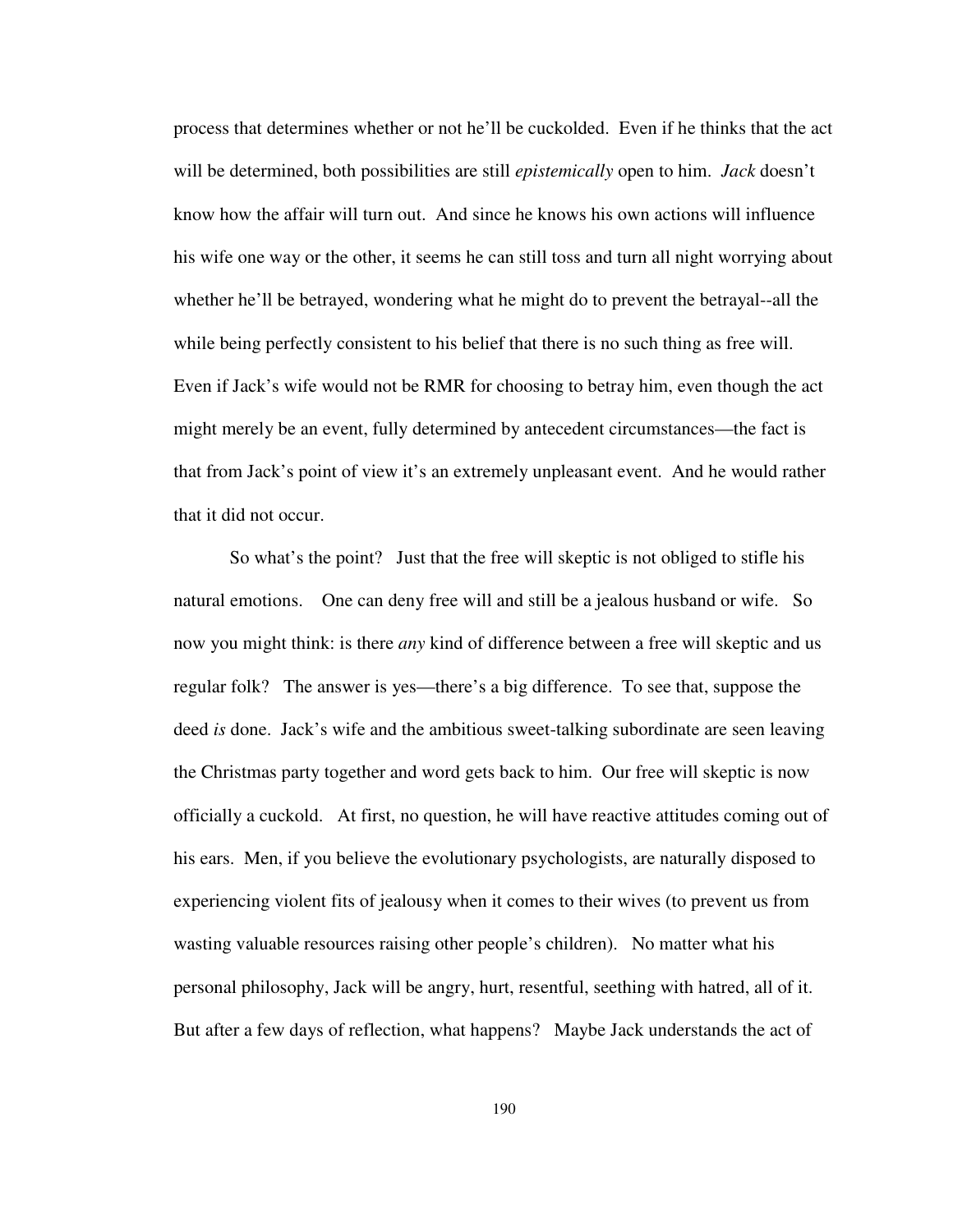process that determines whether or not he'll be cuckolded. Even if he thinks that the act will be determined, both possibilities are still *epistemically* open to him. *Jack* doesn't know how the affair will turn out. And since he knows his own actions will influence his wife one way or the other, it seems he can still toss and turn all night worrying about whether he'll be betrayed, wondering what he might do to prevent the betrayal--all the while being perfectly consistent to his belief that there is no such thing as free will. Even if Jack's wife would not be RMR for choosing to betray him, even though the act might merely be an event, fully determined by antecedent circumstances—the fact is that from Jack's point of view it's an extremely unpleasant event. And he would rather that it did not occur.

So what's the point? Just that the free will skeptic is not obliged to stifle his natural emotions. One can deny free will and still be a jealous husband or wife. So now you might think: is there *any* kind of difference between a free will skeptic and us regular folk? The answer is yes—there's a big difference. To see that, suppose the deed *is* done. Jack's wife and the ambitious sweet-talking subordinate are seen leaving the Christmas party together and word gets back to him. Our free will skeptic is now officially a cuckold. At first, no question, he will have reactive attitudes coming out of his ears. Men, if you believe the evolutionary psychologists, are naturally disposed to experiencing violent fits of jealousy when it comes to their wives (to prevent us from wasting valuable resources raising other people's children). No matter what his personal philosophy, Jack will be angry, hurt, resentful, seething with hatred, all of it. But after a few days of reflection, what happens? Maybe Jack understands the act of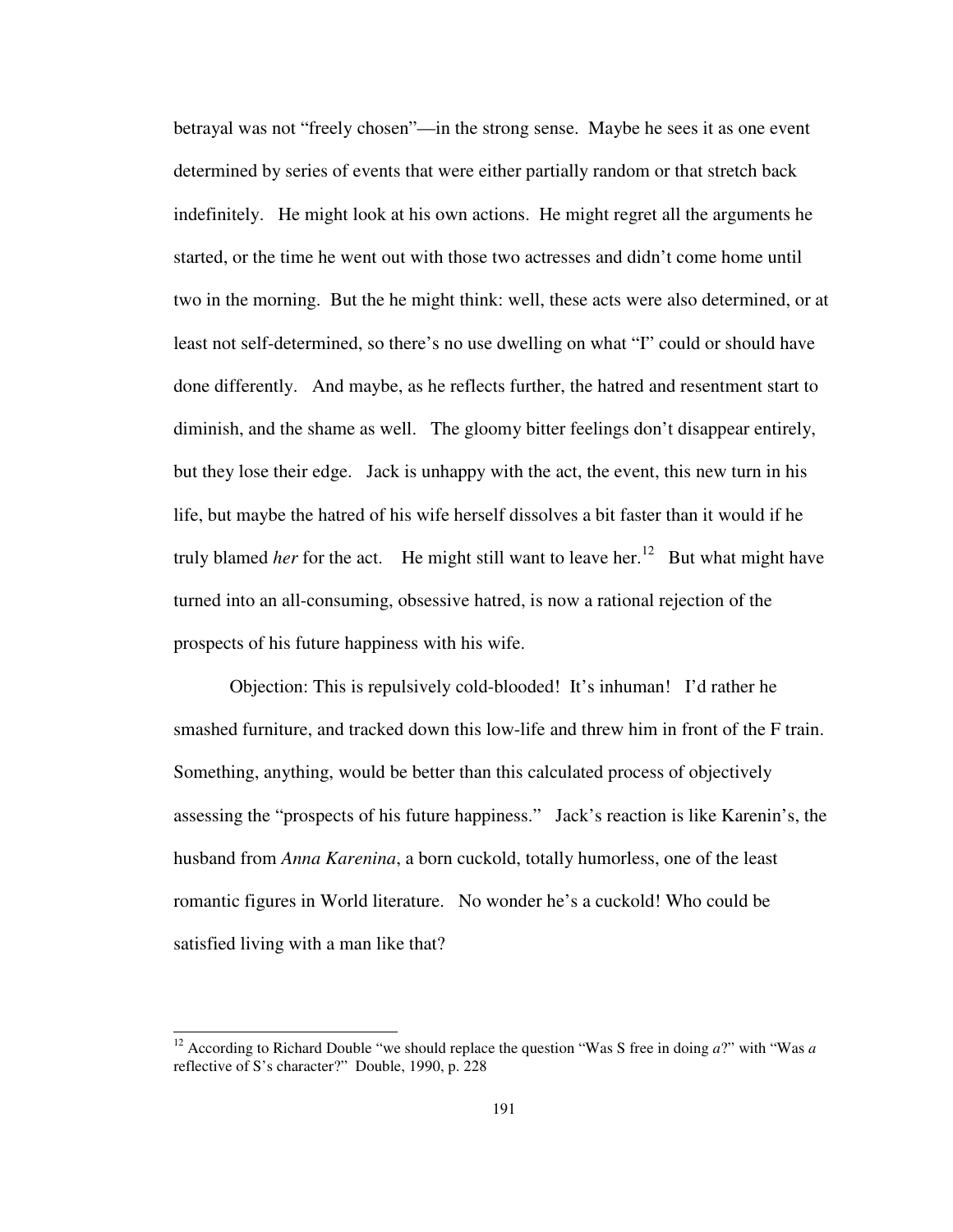betrayal was not "freely chosen"—in the strong sense. Maybe he sees it as one event determined by series of events that were either partially random or that stretch back indefinitely. He might look at his own actions. He might regret all the arguments he started, or the time he went out with those two actresses and didn't come home until two in the morning. But the he might think: well, these acts were also determined, or at least not self-determined, so there's no use dwelling on what "I" could or should have done differently. And maybe, as he reflects further, the hatred and resentment start to diminish, and the shame as well. The gloomy bitter feelings don't disappear entirely, but they lose their edge. Jack is unhappy with the act, the event, this new turn in his life, but maybe the hatred of his wife herself dissolves a bit faster than it would if he truly blamed *her* for the act. He might still want to leave her.<sup>12</sup> But what might have turned into an all-consuming, obsessive hatred, is now a rational rejection of the prospects of his future happiness with his wife.

Objection: This is repulsively cold-blooded! It's inhuman! I'd rather he smashed furniture, and tracked down this low-life and threw him in front of the F train. Something, anything, would be better than this calculated process of objectively assessing the "prospects of his future happiness." Jack's reaction is like Karenin's, the husband from *Anna Karenina*, a born cuckold, totally humorless, one of the least romantic figures in World literature. No wonder he's a cuckold! Who could be satisfied living with a man like that?

j

<sup>12</sup> According to Richard Double "we should replace the question "Was S free in doing *a*?" with "Was *a*  reflective of S's character?" Double, 1990, p. 228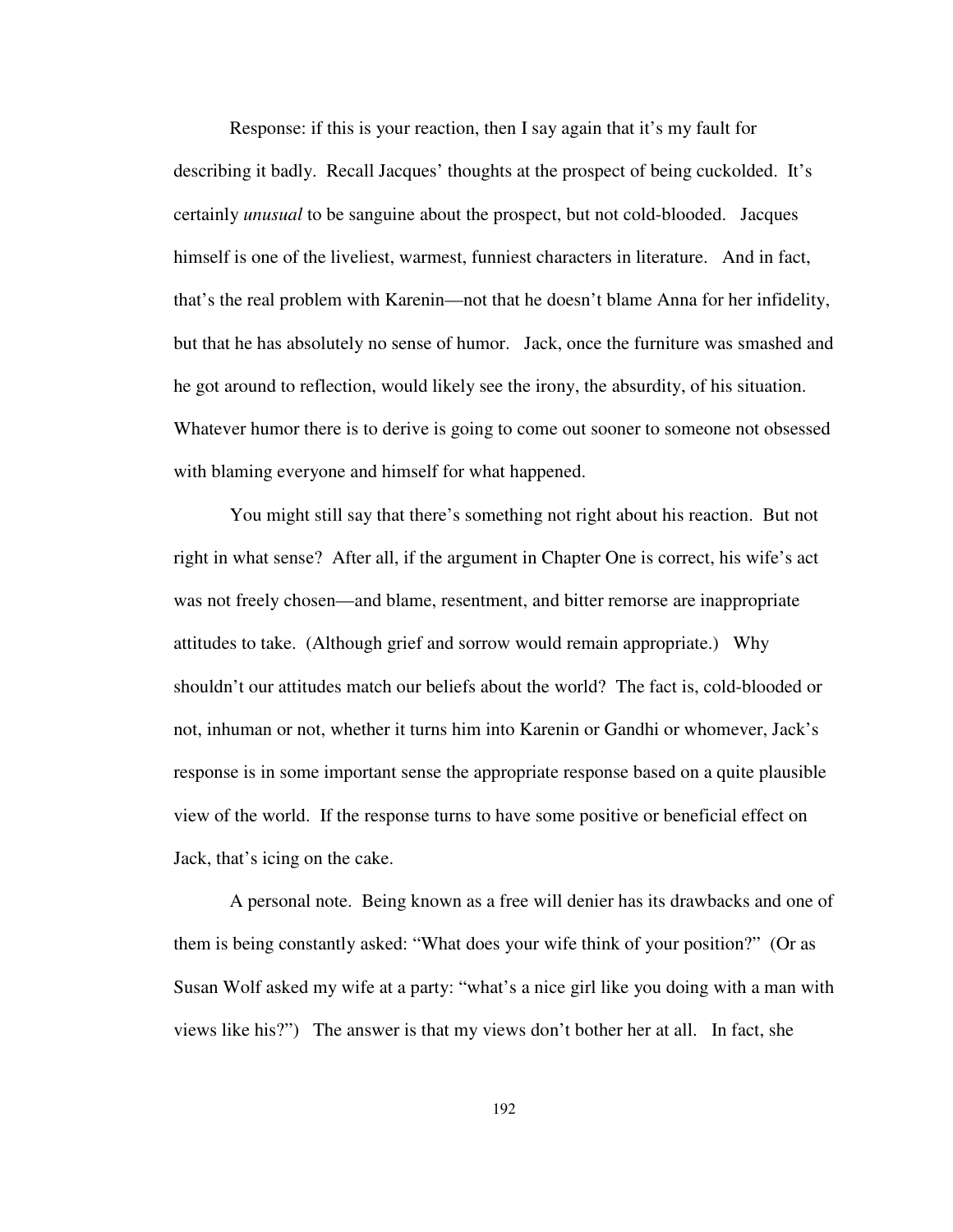Response: if this is your reaction, then I say again that it's my fault for describing it badly. Recall Jacques' thoughts at the prospect of being cuckolded. It's certainly *unusual* to be sanguine about the prospect, but not cold-blooded. Jacques himself is one of the liveliest, warmest, funniest characters in literature. And in fact, that's the real problem with Karenin—not that he doesn't blame Anna for her infidelity, but that he has absolutely no sense of humor. Jack, once the furniture was smashed and he got around to reflection, would likely see the irony, the absurdity, of his situation. Whatever humor there is to derive is going to come out sooner to someone not obsessed with blaming everyone and himself for what happened.

You might still say that there's something not right about his reaction. But not right in what sense? After all, if the argument in Chapter One is correct, his wife's act was not freely chosen—and blame, resentment, and bitter remorse are inappropriate attitudes to take. (Although grief and sorrow would remain appropriate.) Why shouldn't our attitudes match our beliefs about the world? The fact is, cold-blooded or not, inhuman or not, whether it turns him into Karenin or Gandhi or whomever, Jack's response is in some important sense the appropriate response based on a quite plausible view of the world. If the response turns to have some positive or beneficial effect on Jack, that's icing on the cake.

 A personal note. Being known as a free will denier has its drawbacks and one of them is being constantly asked: "What does your wife think of your position?" (Or as Susan Wolf asked my wife at a party: "what's a nice girl like you doing with a man with views like his?") The answer is that my views don't bother her at all. In fact, she

192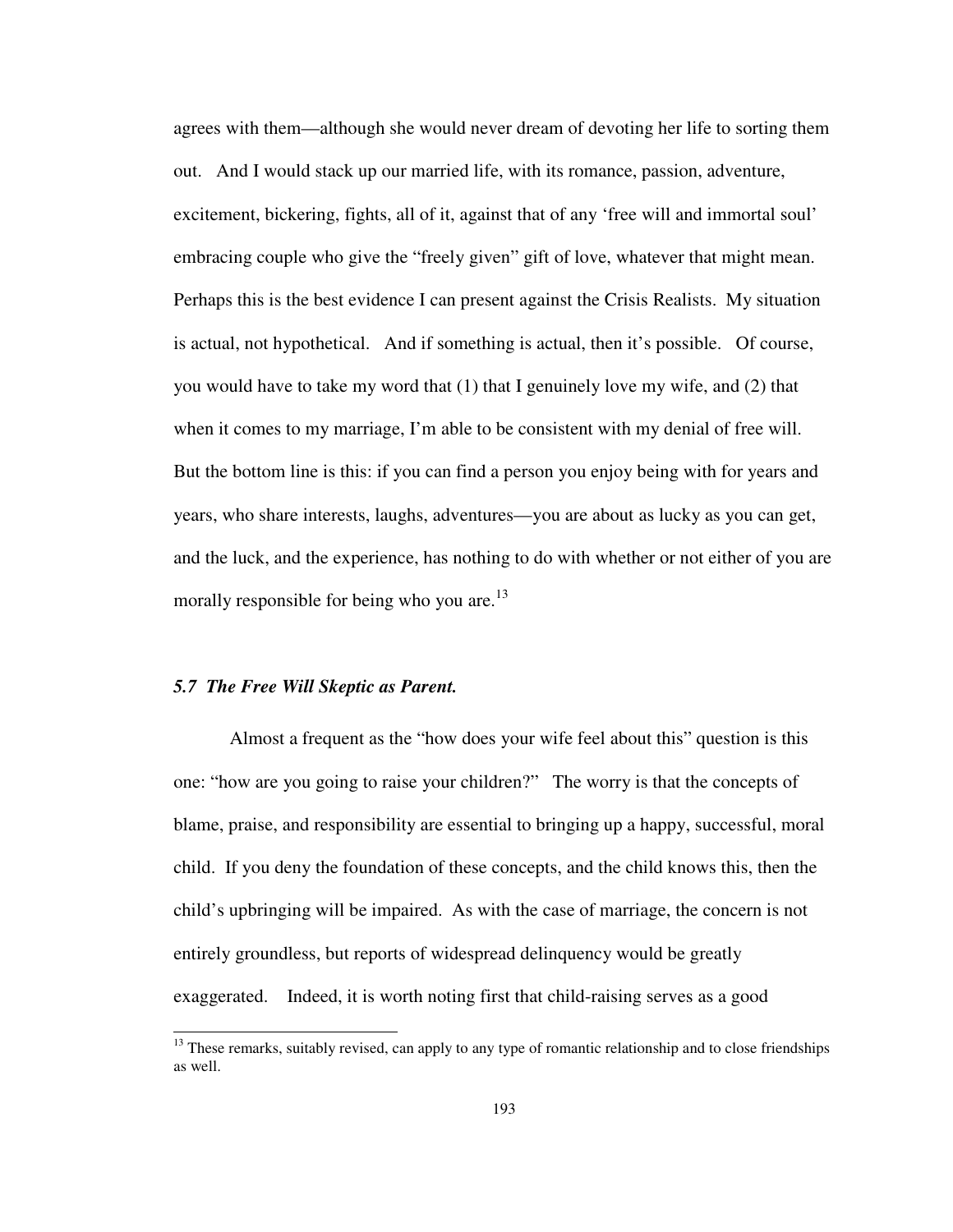agrees with them—although she would never dream of devoting her life to sorting them out. And I would stack up our married life, with its romance, passion, adventure, excitement, bickering, fights, all of it, against that of any 'free will and immortal soul' embracing couple who give the "freely given" gift of love, whatever that might mean. Perhaps this is the best evidence I can present against the Crisis Realists. My situation is actual, not hypothetical. And if something is actual, then it's possible. Of course, you would have to take my word that (1) that I genuinely love my wife, and (2) that when it comes to my marriage, I'm able to be consistent with my denial of free will. But the bottom line is this: if you can find a person you enjoy being with for years and years, who share interests, laughs, adventures—you are about as lucky as you can get, and the luck, and the experience, has nothing to do with whether or not either of you are morally responsible for being who you are.<sup>13</sup>

### *5.7 The Free Will Skeptic as Parent.*

j

Almost a frequent as the "how does your wife feel about this" question is this one: "how are you going to raise your children?" The worry is that the concepts of blame, praise, and responsibility are essential to bringing up a happy, successful, moral child. If you deny the foundation of these concepts, and the child knows this, then the child's upbringing will be impaired. As with the case of marriage, the concern is not entirely groundless, but reports of widespread delinquency would be greatly exaggerated. Indeed, it is worth noting first that child-raising serves as a good

<sup>&</sup>lt;sup>13</sup> These remarks, suitably revised, can apply to any type of romantic relationship and to close friendships as well.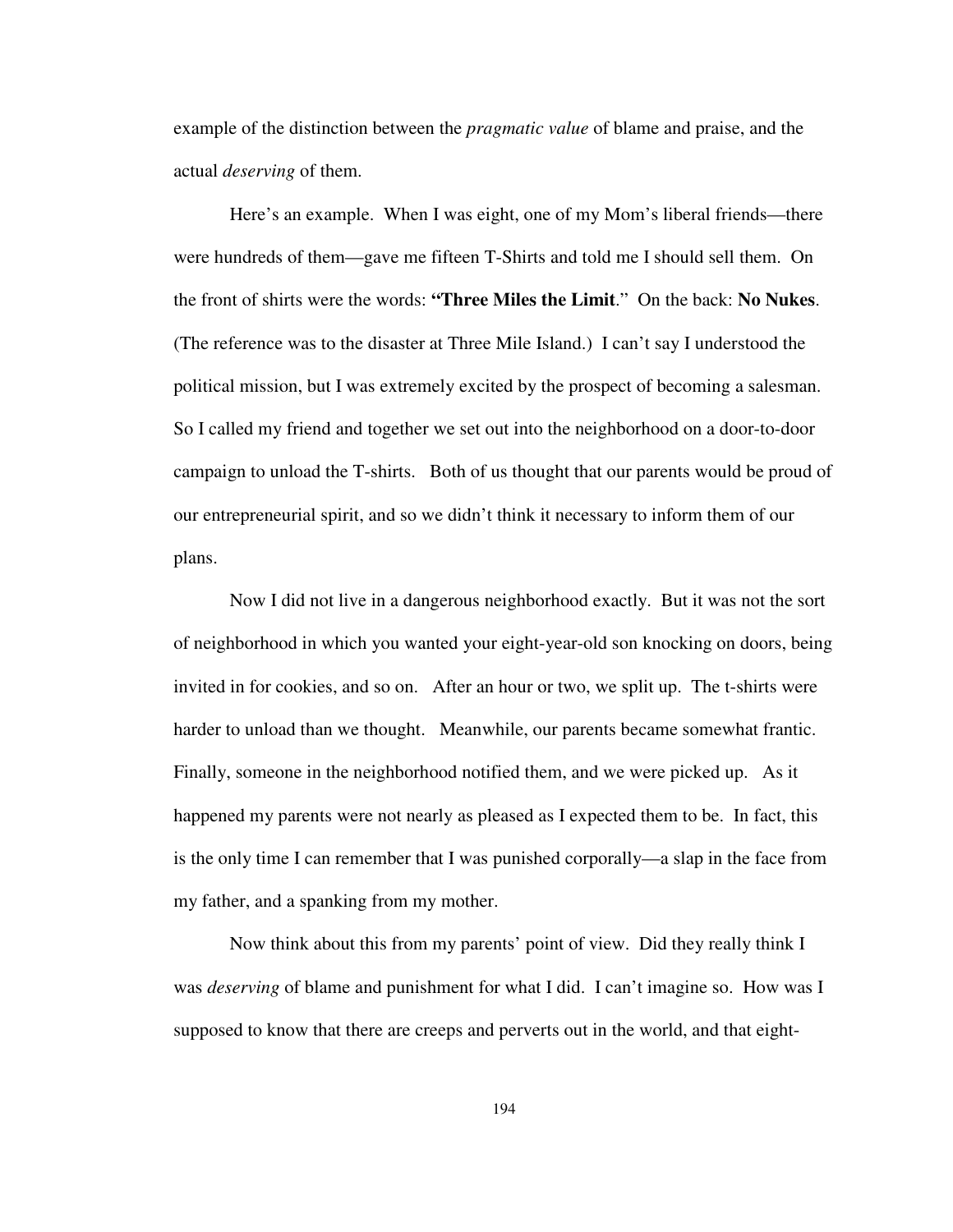example of the distinction between the *pragmatic value* of blame and praise, and the actual *deserving* of them.

 Here's an example. When I was eight, one of my Mom's liberal friends—there were hundreds of them—gave me fifteen T-Shirts and told me I should sell them. On the front of shirts were the words: **"Three Miles the Limit**." On the back: **No Nukes**. (The reference was to the disaster at Three Mile Island.) I can't say I understood the political mission, but I was extremely excited by the prospect of becoming a salesman. So I called my friend and together we set out into the neighborhood on a door-to-door campaign to unload the T-shirts. Both of us thought that our parents would be proud of our entrepreneurial spirit, and so we didn't think it necessary to inform them of our plans.

Now I did not live in a dangerous neighborhood exactly. But it was not the sort of neighborhood in which you wanted your eight-year-old son knocking on doors, being invited in for cookies, and so on. After an hour or two, we split up. The t-shirts were harder to unload than we thought. Meanwhile, our parents became somewhat frantic. Finally, someone in the neighborhood notified them, and we were picked up. As it happened my parents were not nearly as pleased as I expected them to be. In fact, this is the only time I can remember that I was punished corporally—a slap in the face from my father, and a spanking from my mother.

 Now think about this from my parents' point of view. Did they really think I was *deserving* of blame and punishment for what I did. I can't imagine so. How was I supposed to know that there are creeps and perverts out in the world, and that eight-

194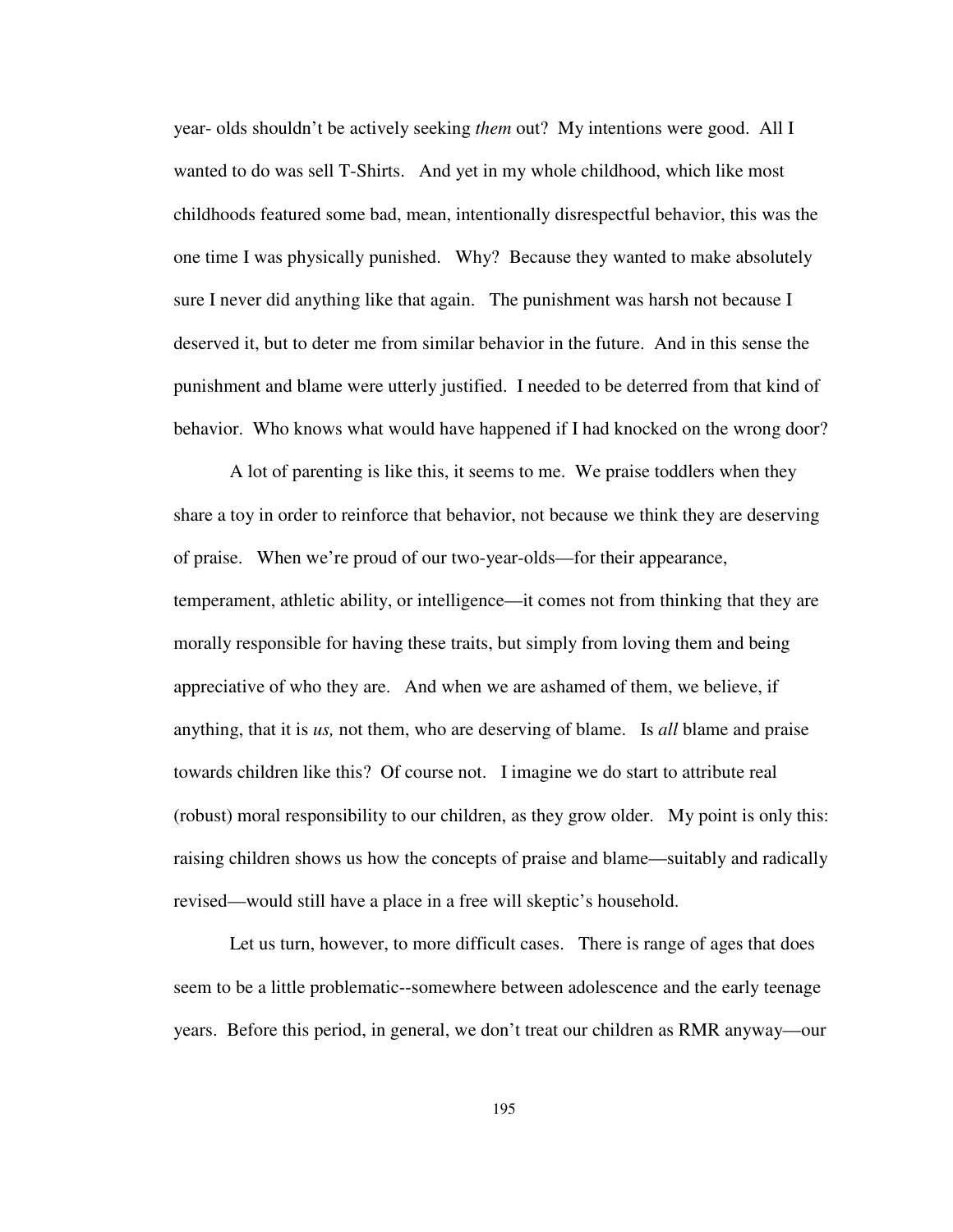year- olds shouldn't be actively seeking *them* out? My intentions were good. All I wanted to do was sell T-Shirts. And yet in my whole childhood, which like most childhoods featured some bad, mean, intentionally disrespectful behavior, this was the one time I was physically punished. Why? Because they wanted to make absolutely sure I never did anything like that again. The punishment was harsh not because I deserved it, but to deter me from similar behavior in the future. And in this sense the punishment and blame were utterly justified. I needed to be deterred from that kind of behavior. Who knows what would have happened if I had knocked on the wrong door?

A lot of parenting is like this, it seems to me. We praise toddlers when they share a toy in order to reinforce that behavior, not because we think they are deserving of praise. When we're proud of our two-year-olds—for their appearance, temperament, athletic ability, or intelligence—it comes not from thinking that they are morally responsible for having these traits, but simply from loving them and being appreciative of who they are. And when we are ashamed of them, we believe, if anything, that it is *us,* not them, who are deserving of blame. Is *all* blame and praise towards children like this? Of course not. I imagine we do start to attribute real (robust) moral responsibility to our children, as they grow older. My point is only this: raising children shows us how the concepts of praise and blame—suitably and radically revised—would still have a place in a free will skeptic's household.

Let us turn, however, to more difficult cases. There is range of ages that does seem to be a little problematic--somewhere between adolescence and the early teenage years. Before this period, in general, we don't treat our children as RMR anyway—our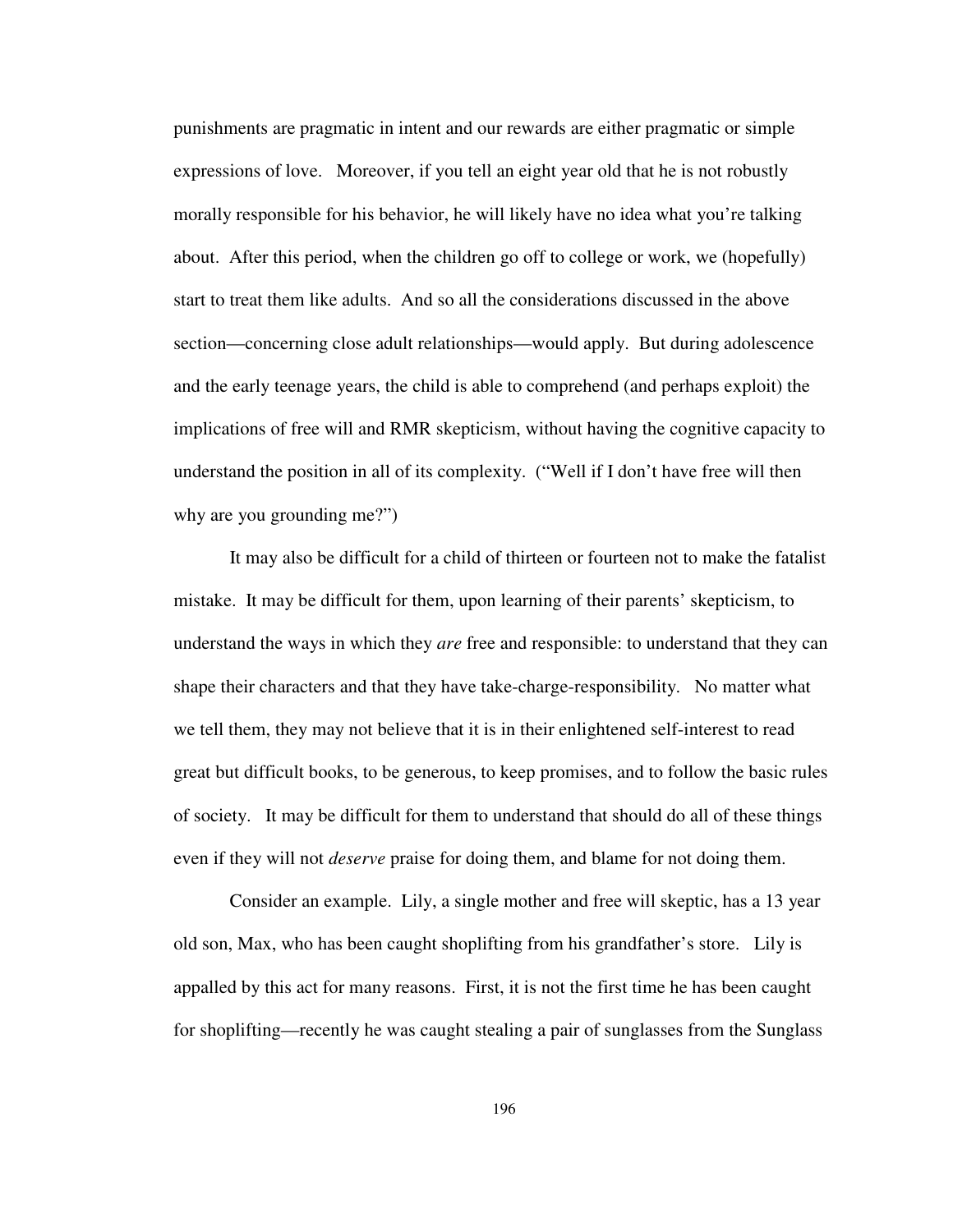punishments are pragmatic in intent and our rewards are either pragmatic or simple expressions of love. Moreover, if you tell an eight year old that he is not robustly morally responsible for his behavior, he will likely have no idea what you're talking about. After this period, when the children go off to college or work, we (hopefully) start to treat them like adults. And so all the considerations discussed in the above section—concerning close adult relationships—would apply. But during adolescence and the early teenage years, the child is able to comprehend (and perhaps exploit) the implications of free will and RMR skepticism, without having the cognitive capacity to understand the position in all of its complexity. ("Well if I don't have free will then why are you grounding me?")

It may also be difficult for a child of thirteen or fourteen not to make the fatalist mistake. It may be difficult for them, upon learning of their parents' skepticism, to understand the ways in which they *are* free and responsible: to understand that they can shape their characters and that they have take-charge-responsibility. No matter what we tell them, they may not believe that it is in their enlightened self-interest to read great but difficult books, to be generous, to keep promises, and to follow the basic rules of society. It may be difficult for them to understand that should do all of these things even if they will not *deserve* praise for doing them, and blame for not doing them.

Consider an example. Lily, a single mother and free will skeptic, has a 13 year old son, Max, who has been caught shoplifting from his grandfather's store. Lily is appalled by this act for many reasons. First, it is not the first time he has been caught for shoplifting—recently he was caught stealing a pair of sunglasses from the Sunglass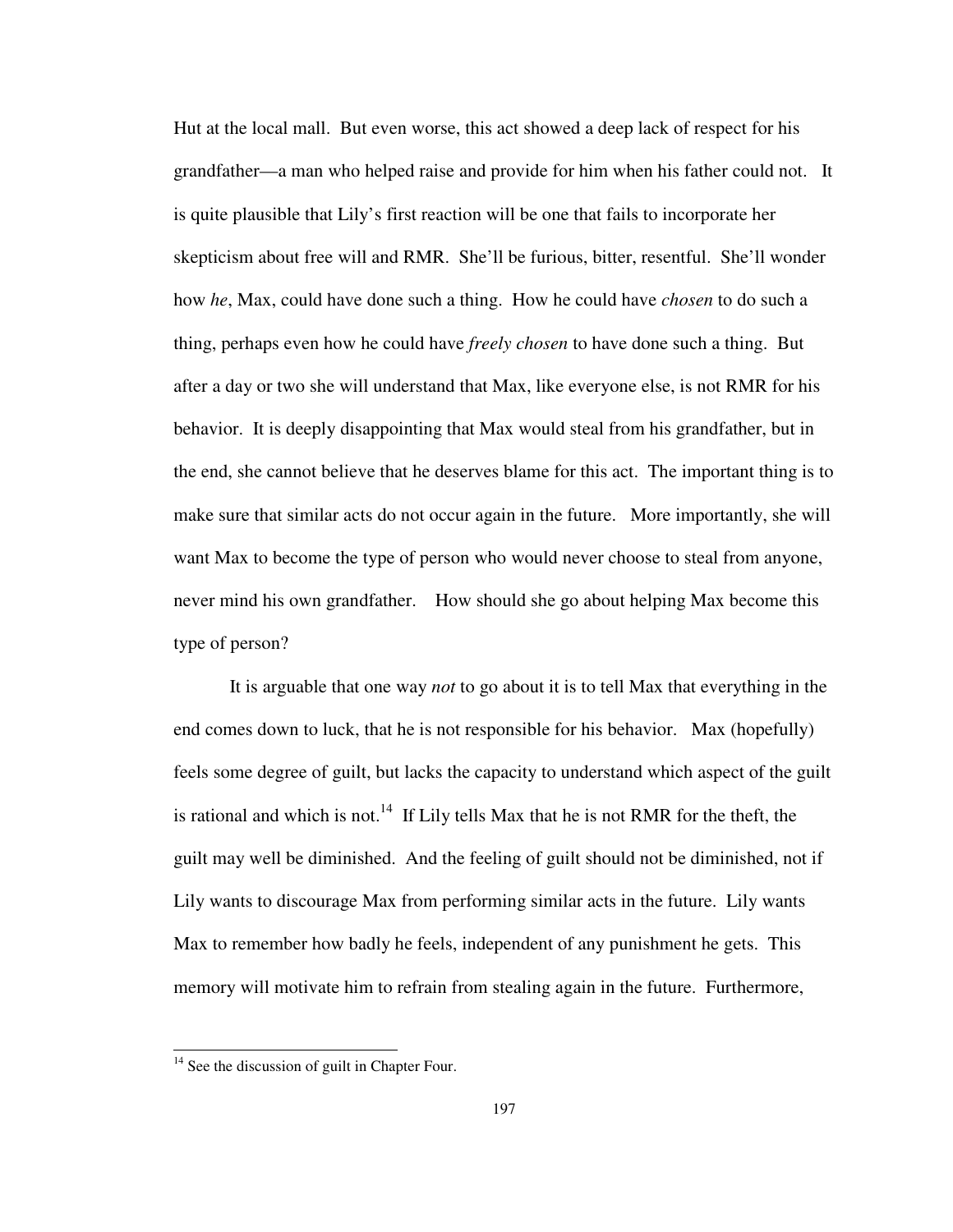Hut at the local mall. But even worse, this act showed a deep lack of respect for his grandfather—a man who helped raise and provide for him when his father could not. It is quite plausible that Lily's first reaction will be one that fails to incorporate her skepticism about free will and RMR. She'll be furious, bitter, resentful. She'll wonder how *he*, Max, could have done such a thing. How he could have *chosen* to do such a thing, perhaps even how he could have *freely chosen* to have done such a thing. But after a day or two she will understand that Max, like everyone else, is not RMR for his behavior. It is deeply disappointing that Max would steal from his grandfather, but in the end, she cannot believe that he deserves blame for this act. The important thing is to make sure that similar acts do not occur again in the future. More importantly, she will want Max to become the type of person who would never choose to steal from anyone, never mind his own grandfather. How should she go about helping Max become this type of person?

It is arguable that one way *not* to go about it is to tell Max that everything in the end comes down to luck, that he is not responsible for his behavior. Max (hopefully) feels some degree of guilt, but lacks the capacity to understand which aspect of the guilt is rational and which is not.<sup>14</sup> If Lily tells Max that he is not RMR for the theft, the guilt may well be diminished. And the feeling of guilt should not be diminished, not if Lily wants to discourage Max from performing similar acts in the future. Lily wants Max to remember how badly he feels, independent of any punishment he gets. This memory will motivate him to refrain from stealing again in the future. Furthermore,

 $14$  See the discussion of guilt in Chapter Four.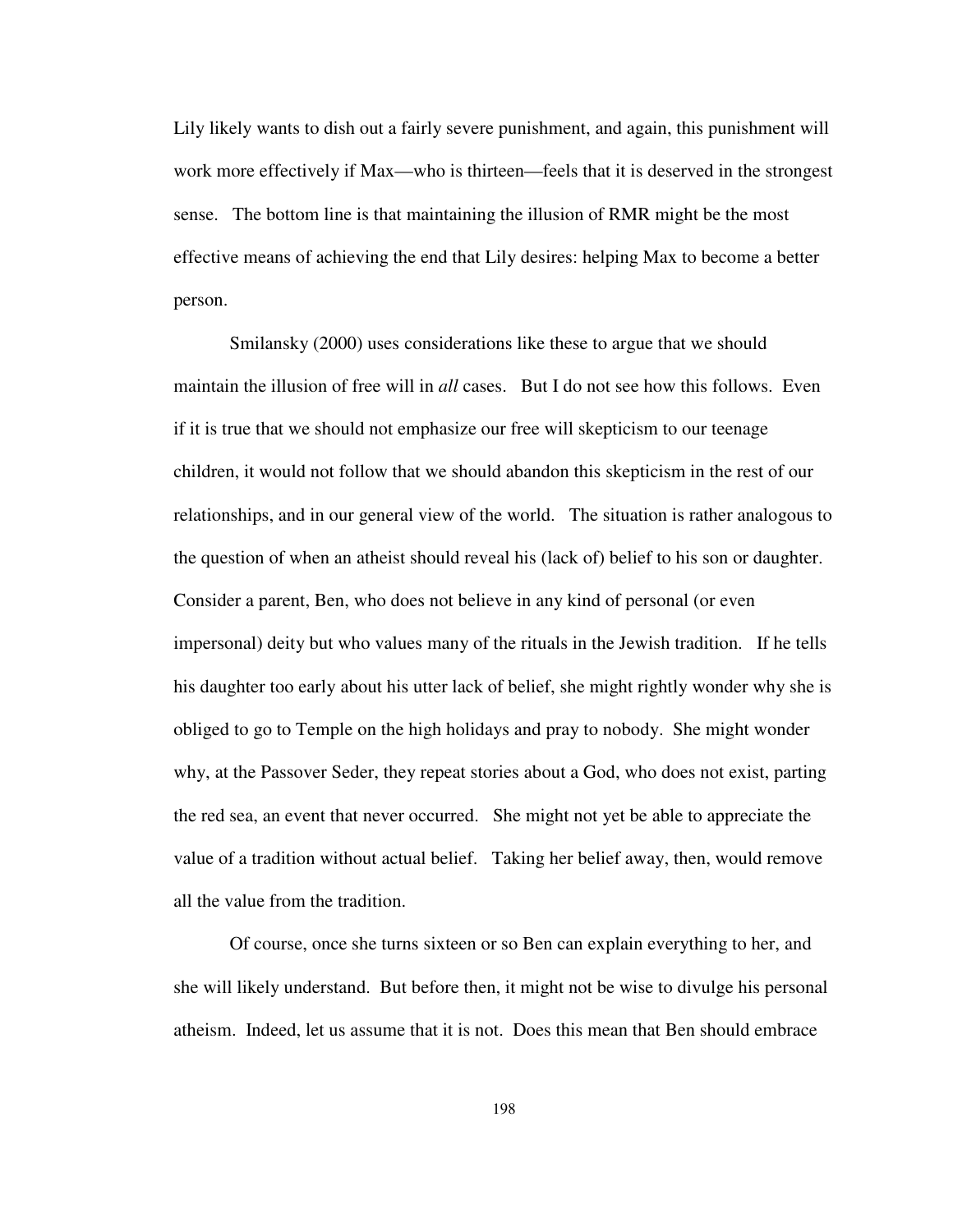Lily likely wants to dish out a fairly severe punishment, and again, this punishment will work more effectively if Max—who is thirteen—feels that it is deserved in the strongest sense. The bottom line is that maintaining the illusion of RMR might be the most effective means of achieving the end that Lily desires: helping Max to become a better person.

Smilansky (2000) uses considerations like these to argue that we should maintain the illusion of free will in *all* cases. But I do not see how this follows. Even if it is true that we should not emphasize our free will skepticism to our teenage children, it would not follow that we should abandon this skepticism in the rest of our relationships, and in our general view of the world. The situation is rather analogous to the question of when an atheist should reveal his (lack of) belief to his son or daughter. Consider a parent, Ben, who does not believe in any kind of personal (or even impersonal) deity but who values many of the rituals in the Jewish tradition. If he tells his daughter too early about his utter lack of belief, she might rightly wonder why she is obliged to go to Temple on the high holidays and pray to nobody. She might wonder why, at the Passover Seder, they repeat stories about a God, who does not exist, parting the red sea, an event that never occurred. She might not yet be able to appreciate the value of a tradition without actual belief. Taking her belief away, then, would remove all the value from the tradition.

Of course, once she turns sixteen or so Ben can explain everything to her, and she will likely understand. But before then, it might not be wise to divulge his personal atheism. Indeed, let us assume that it is not. Does this mean that Ben should embrace

198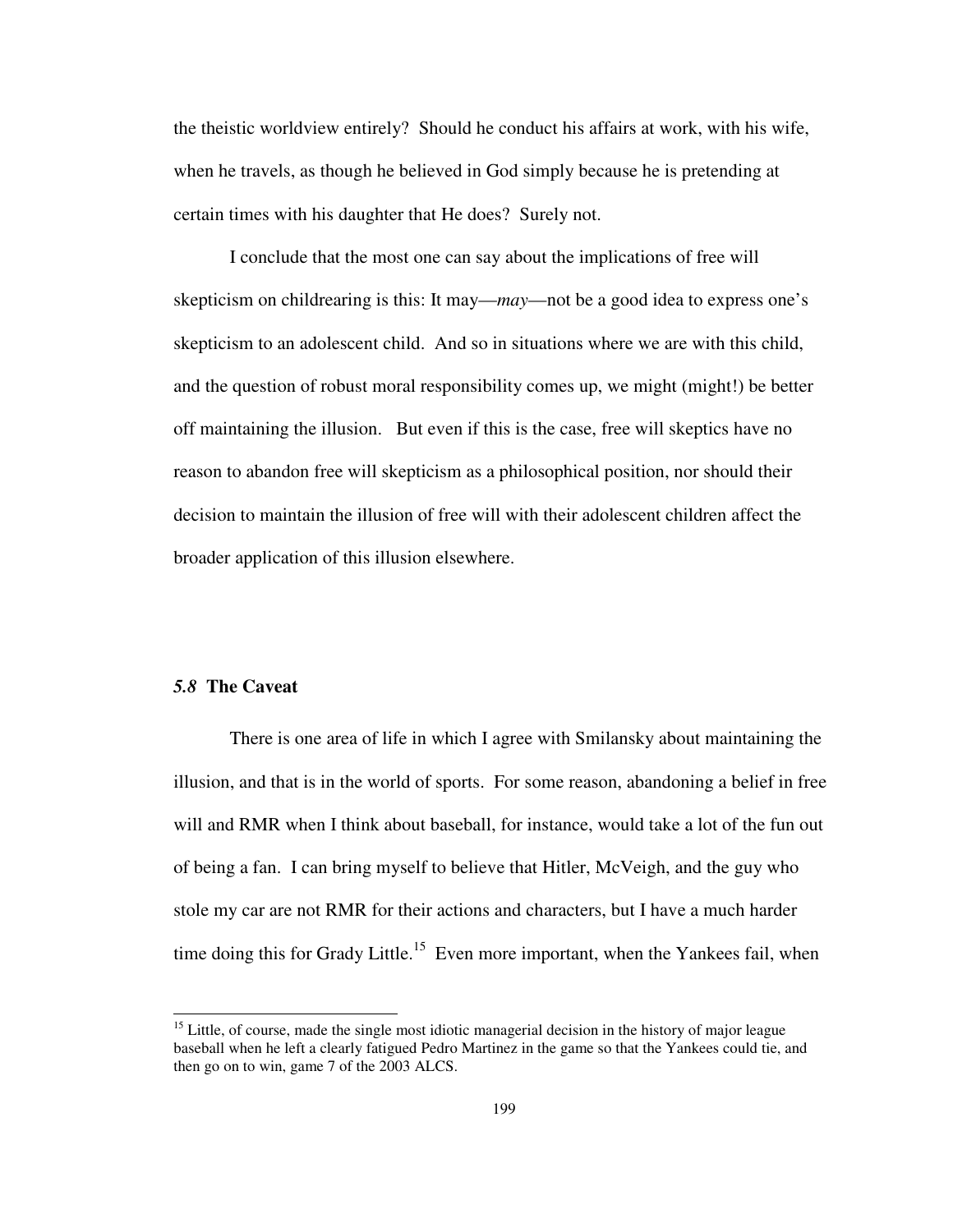the theistic worldview entirely? Should he conduct his affairs at work, with his wife, when he travels, as though he believed in God simply because he is pretending at certain times with his daughter that He does? Surely not.

I conclude that the most one can say about the implications of free will skepticism on childrearing is this: It may—*may*—not be a good idea to express one's skepticism to an adolescent child. And so in situations where we are with this child, and the question of robust moral responsibility comes up, we might (might!) be better off maintaining the illusion. But even if this is the case, free will skeptics have no reason to abandon free will skepticism as a philosophical position, nor should their decision to maintain the illusion of free will with their adolescent children affect the broader application of this illusion elsewhere.

# *5.8* **The Caveat**

-

There is one area of life in which I agree with Smilansky about maintaining the illusion, and that is in the world of sports. For some reason, abandoning a belief in free will and RMR when I think about baseball, for instance, would take a lot of the fun out of being a fan. I can bring myself to believe that Hitler, McVeigh, and the guy who stole my car are not RMR for their actions and characters, but I have a much harder time doing this for Grady Little.<sup>15</sup> Even more important, when the Yankees fail, when

<sup>&</sup>lt;sup>15</sup> Little, of course, made the single most idiotic managerial decision in the history of major league baseball when he left a clearly fatigued Pedro Martinez in the game so that the Yankees could tie, and then go on to win, game 7 of the 2003 ALCS.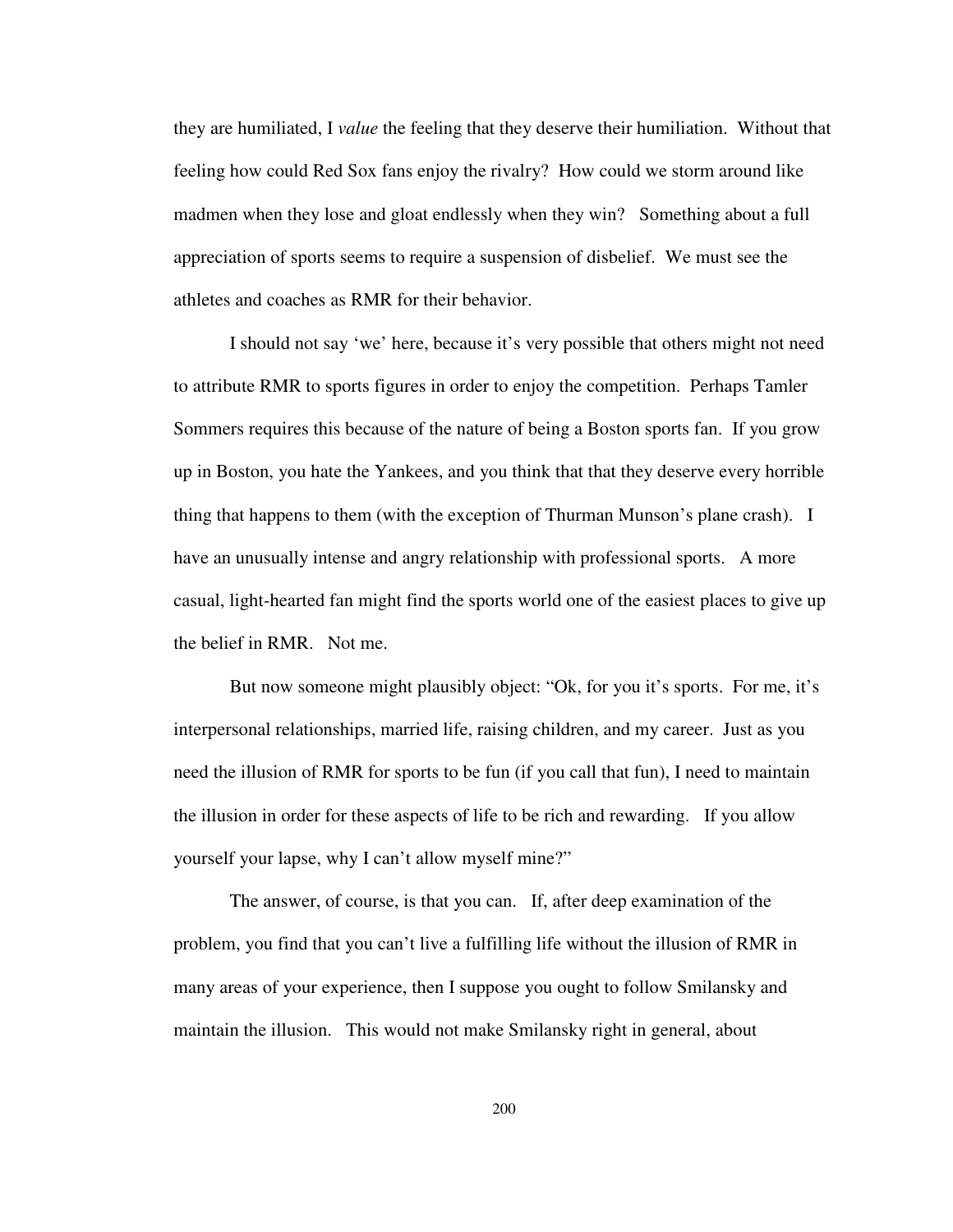they are humiliated, I *value* the feeling that they deserve their humiliation. Without that feeling how could Red Sox fans enjoy the rivalry? How could we storm around like madmen when they lose and gloat endlessly when they win? Something about a full appreciation of sports seems to require a suspension of disbelief. We must see the athletes and coaches as RMR for their behavior.

I should not say 'we' here, because it's very possible that others might not need to attribute RMR to sports figures in order to enjoy the competition. Perhaps Tamler Sommers requires this because of the nature of being a Boston sports fan. If you grow up in Boston, you hate the Yankees, and you think that that they deserve every horrible thing that happens to them (with the exception of Thurman Munson's plane crash). I have an unusually intense and angry relationship with professional sports. A more casual, light-hearted fan might find the sports world one of the easiest places to give up the belief in RMR. Not me.

But now someone might plausibly object: "Ok, for you it's sports. For me, it's interpersonal relationships, married life, raising children, and my career. Just as you need the illusion of RMR for sports to be fun (if you call that fun), I need to maintain the illusion in order for these aspects of life to be rich and rewarding. If you allow yourself your lapse, why I can't allow myself mine?"

The answer, of course, is that you can. If, after deep examination of the problem, you find that you can't live a fulfilling life without the illusion of RMR in many areas of your experience, then I suppose you ought to follow Smilansky and maintain the illusion. This would not make Smilansky right in general, about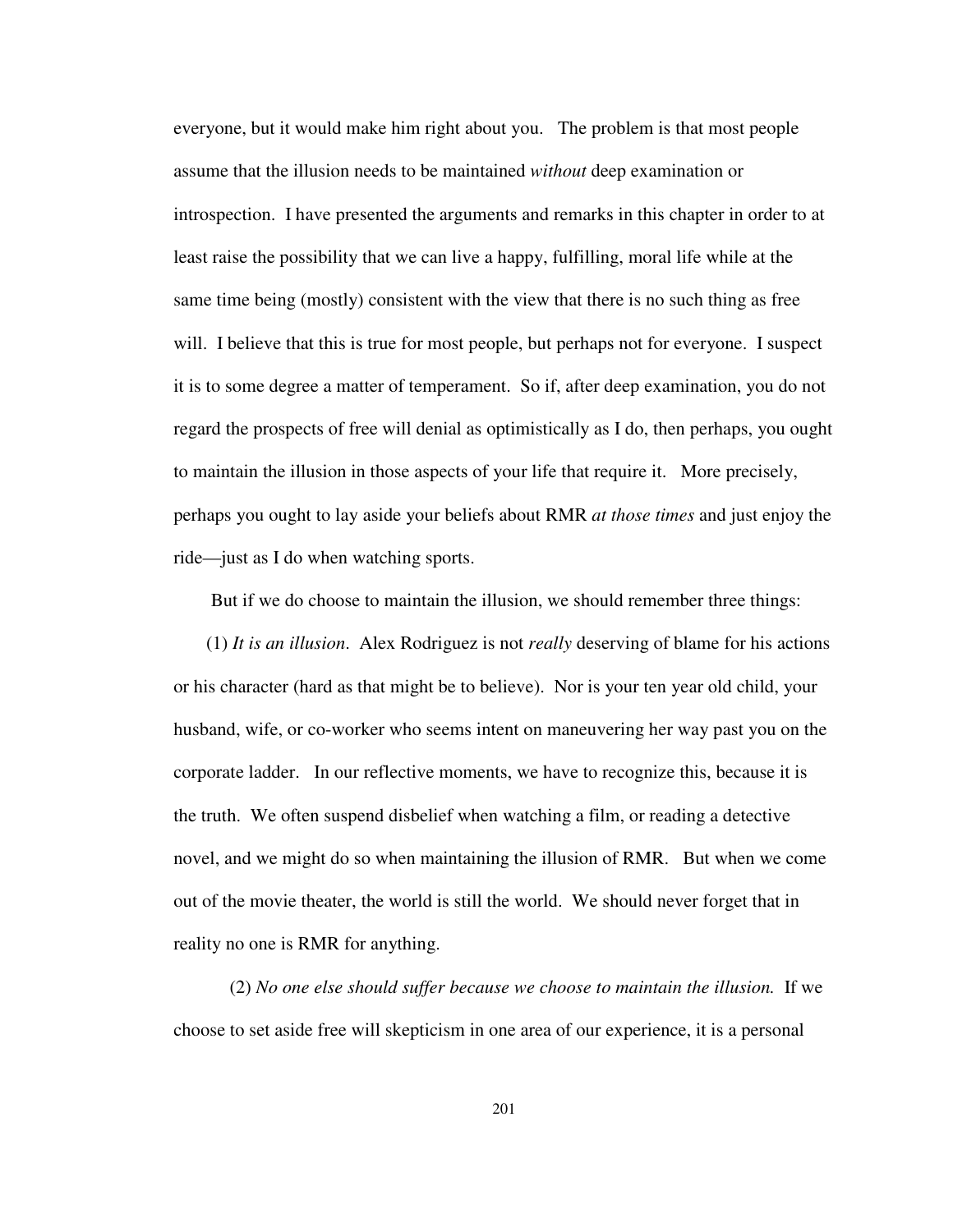everyone, but it would make him right about you. The problem is that most people assume that the illusion needs to be maintained *without* deep examination or introspection. I have presented the arguments and remarks in this chapter in order to at least raise the possibility that we can live a happy, fulfilling, moral life while at the same time being (mostly) consistent with the view that there is no such thing as free will. I believe that this is true for most people, but perhaps not for everyone. I suspect it is to some degree a matter of temperament. So if, after deep examination, you do not regard the prospects of free will denial as optimistically as I do, then perhaps, you ought to maintain the illusion in those aspects of your life that require it. More precisely, perhaps you ought to lay aside your beliefs about RMR *at those times* and just enjoy the ride—just as I do when watching sports.

But if we do choose to maintain the illusion, we should remember three things:

(1) *It is an illusion*. Alex Rodriguez is not *really* deserving of blame for his actions or his character (hard as that might be to believe). Nor is your ten year old child, your husband, wife, or co-worker who seems intent on maneuvering her way past you on the corporate ladder. In our reflective moments, we have to recognize this, because it is the truth. We often suspend disbelief when watching a film, or reading a detective novel, and we might do so when maintaining the illusion of RMR. But when we come out of the movie theater, the world is still the world. We should never forget that in reality no one is RMR for anything.

(2) *No one else should suffer because we choose to maintain the illusion.* If we choose to set aside free will skepticism in one area of our experience, it is a personal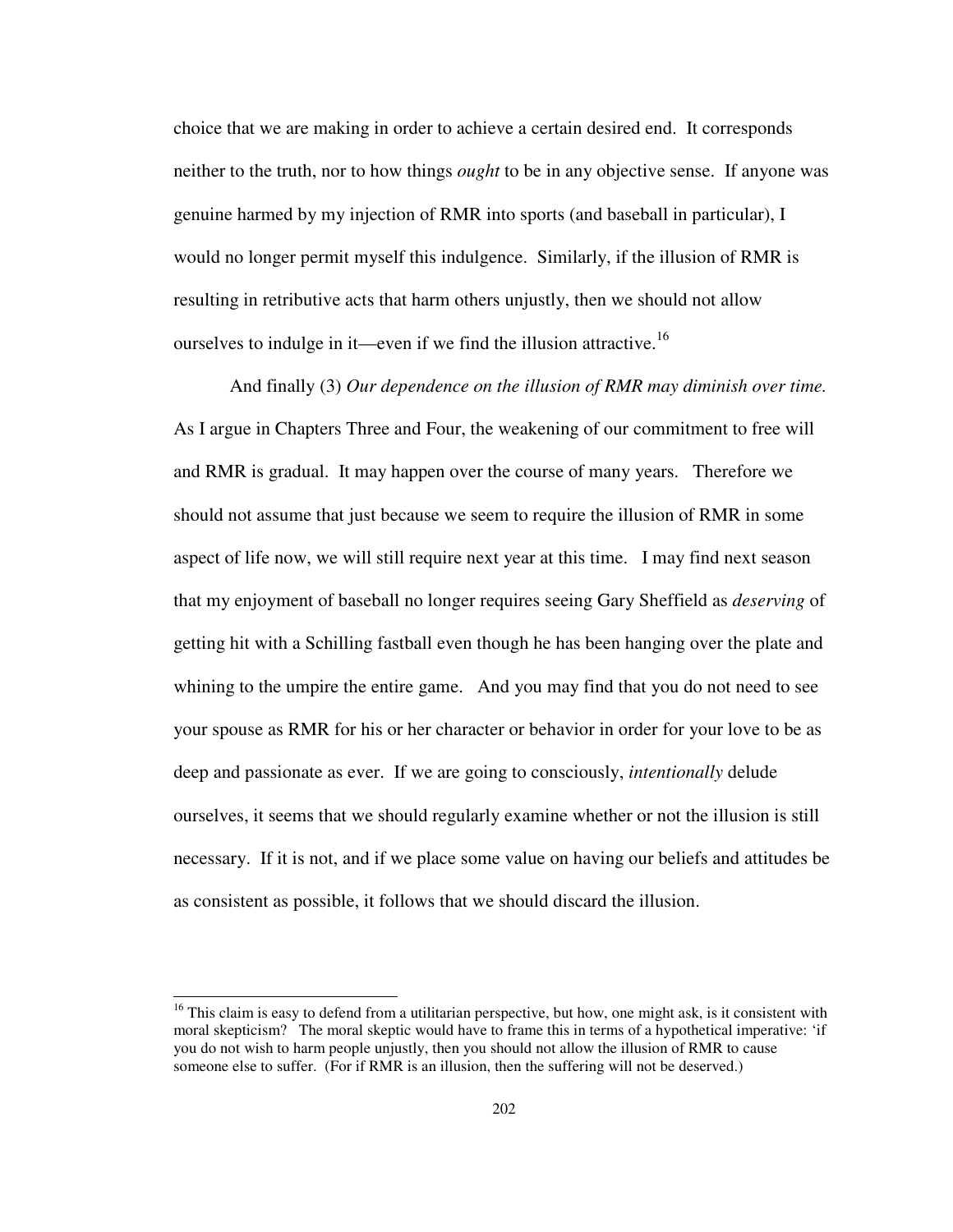choice that we are making in order to achieve a certain desired end. It corresponds neither to the truth, nor to how things *ought* to be in any objective sense. If anyone was genuine harmed by my injection of RMR into sports (and baseball in particular), I would no longer permit myself this indulgence. Similarly, if the illusion of RMR is resulting in retributive acts that harm others unjustly, then we should not allow ourselves to indulge in it—even if we find the illusion attractive.<sup>16</sup>

And finally (3) *Our dependence on the illusion of RMR may diminish over time.*  As I argue in Chapters Three and Four, the weakening of our commitment to free will and RMR is gradual. It may happen over the course of many years. Therefore we should not assume that just because we seem to require the illusion of RMR in some aspect of life now, we will still require next year at this time. I may find next season that my enjoyment of baseball no longer requires seeing Gary Sheffield as *deserving* of getting hit with a Schilling fastball even though he has been hanging over the plate and whining to the umpire the entire game. And you may find that you do not need to see your spouse as RMR for his or her character or behavior in order for your love to be as deep and passionate as ever. If we are going to consciously, *intentionally* delude ourselves, it seems that we should regularly examine whether or not the illusion is still necessary. If it is not, and if we place some value on having our beliefs and attitudes be as consistent as possible, it follows that we should discard the illusion.

<sup>&</sup>lt;sup>16</sup> This claim is easy to defend from a utilitarian perspective, but how, one might ask, is it consistent with moral skepticism? The moral skeptic would have to frame this in terms of a hypothetical imperative: 'if you do not wish to harm people unjustly, then you should not allow the illusion of RMR to cause someone else to suffer. (For if RMR is an illusion, then the suffering will not be deserved.)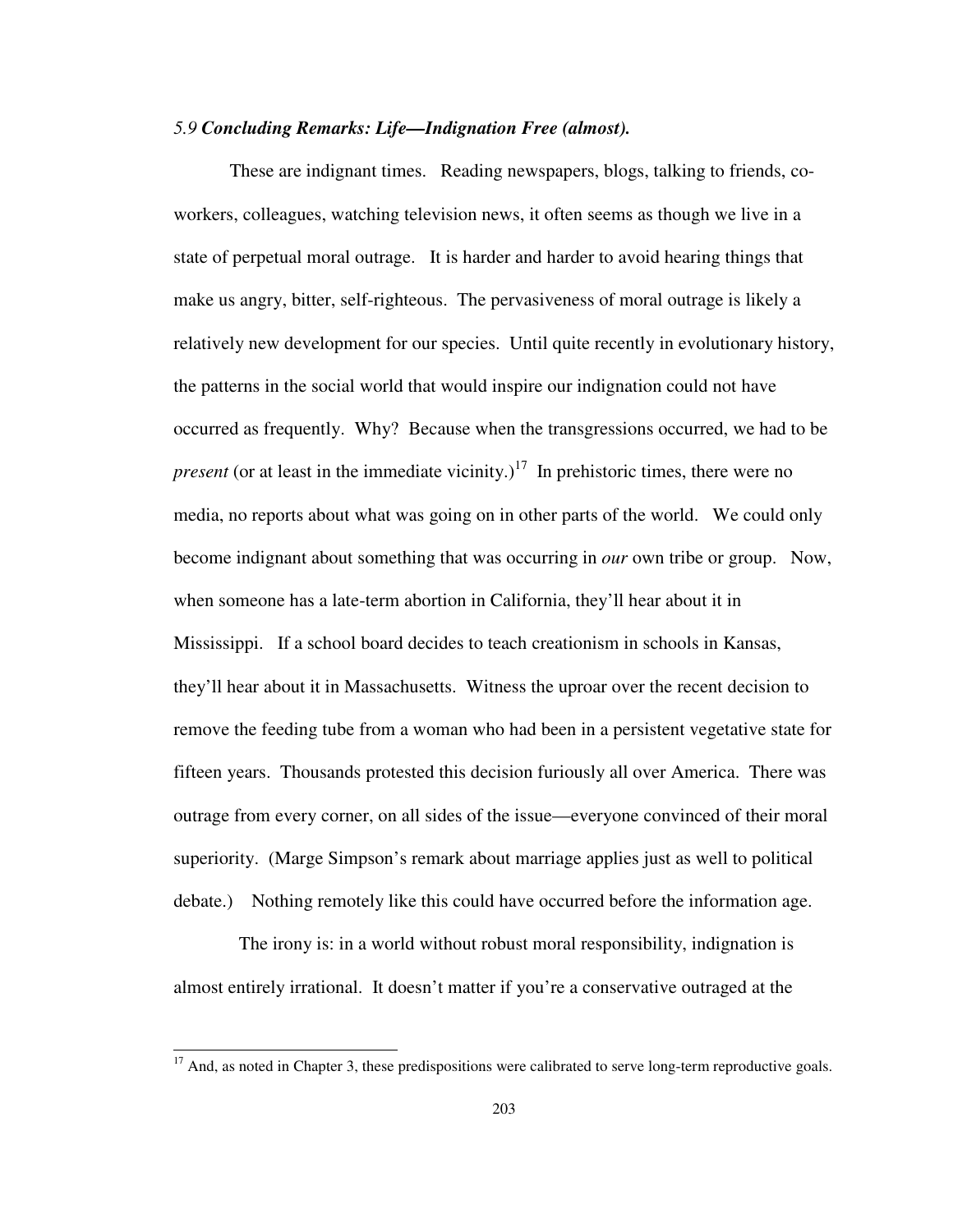### *5.9 Concluding Remarks: Life—Indignation Free (almost).*

 These are indignant times. Reading newspapers, blogs, talking to friends, coworkers, colleagues, watching television news, it often seems as though we live in a state of perpetual moral outrage. It is harder and harder to avoid hearing things that make us angry, bitter, self-righteous. The pervasiveness of moral outrage is likely a relatively new development for our species. Until quite recently in evolutionary history, the patterns in the social world that would inspire our indignation could not have occurred as frequently. Why? Because when the transgressions occurred, we had to be *present* (or at least in the immediate vicinity.)<sup>17</sup> In prehistoric times, there were no media, no reports about what was going on in other parts of the world. We could only become indignant about something that was occurring in *our* own tribe or group. Now, when someone has a late-term abortion in California, they'll hear about it in Mississippi. If a school board decides to teach creationism in schools in Kansas, they'll hear about it in Massachusetts. Witness the uproar over the recent decision to remove the feeding tube from a woman who had been in a persistent vegetative state for fifteen years. Thousands protested this decision furiously all over America. There was outrage from every corner, on all sides of the issue—everyone convinced of their moral superiority. (Marge Simpson's remark about marriage applies just as well to political debate.) Nothing remotely like this could have occurred before the information age.

 The irony is: in a world without robust moral responsibility, indignation is almost entirely irrational. It doesn't matter if you're a conservative outraged at the

 $17$  And, as noted in Chapter 3, these predispositions were calibrated to serve long-term reproductive goals.